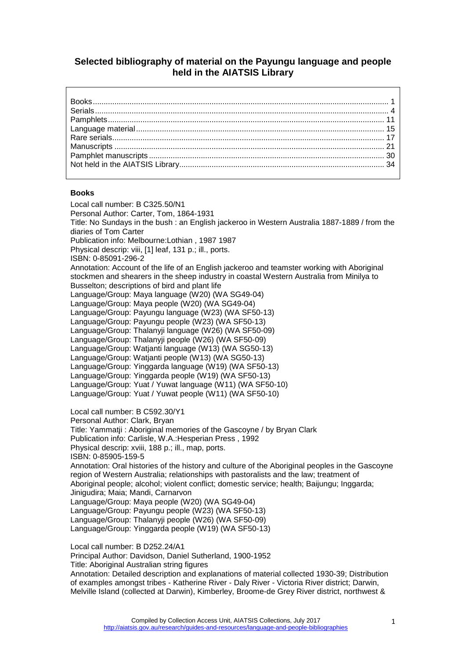# **Selected bibliography of material on the Payungu language and people held in the AIATSIS Library**

## <span id="page-0-0"></span>**Books**

Local call number: B C325.50/N1 Personal Author: Carter, Tom, 1864-1931 Title: No Sundays in the bush : an English jackeroo in Western Australia 1887-1889 / from the diaries of Tom Carter Publication info: Melbourne:Lothian , 1987 1987 Physical descrip: viii, [1] leaf, 131 p.; ill., ports. ISBN: 0-85091-296-2 Annotation: Account of the life of an English jackeroo and teamster working with Aboriginal stockmen and shearers in the sheep industry in coastal Western Australia from Minilya to Busselton; descriptions of bird and plant life Language/Group: Maya language (W20) (WA SG49-04) Language/Group: Maya people (W20) (WA SG49-04) Language/Group: Payungu language (W23) (WA SF50-13) Language/Group: Payungu people (W23) (WA SF50-13) Language/Group: Thalanyji language (W26) (WA SF50-09) Language/Group: Thalanyji people (W26) (WA SF50-09) Language/Group: Watjanti language (W13) (WA SG50-13) Language/Group: Watjanti people (W13) (WA SG50-13) Language/Group: Yinggarda language (W19) (WA SF50-13) Language/Group: Yinggarda people (W19) (WA SF50-13) Language/Group: Yuat / Yuwat language (W11) (WA SF50-10) Language/Group: Yuat / Yuwat people (W11) (WA SF50-10) Local call number: B C592.30/Y1 Personal Author: Clark, Bryan Title: Yammatji : Aboriginal memories of the Gascoyne / by Bryan Clark Publication info: Carlisle, W.A.:Hesperian Press , 1992 Physical descrip: xviii, 188 p.; ill., map, ports. ISBN: 0-85905-159-5 Annotation: Oral histories of the history and culture of the Aboriginal peoples in the Gascoyne region of Western Australia; relationships with pastoralists and the law; treatment of Aboriginal people; alcohol; violent conflict; domestic service; health; Baijungu; Inggarda; Jinigudira; Maia; Mandi, Carnarvon Language/Group: Maya people (W20) (WA SG49-04) Language/Group: Payungu people (W23) (WA SF50-13) Language/Group: Thalanyji people (W26) (WA SF50-09) Language/Group: Yinggarda people (W19) (WA SF50-13) Local call number: B D252.24/A1 Principal Author: Davidson, Daniel Sutherland, 1900-1952 Title: Aboriginal Australian string figures Annotation: Detailed description and explanations of material collected 1930-39; Distribution of examples amongst tribes - Katherine River - Daly River - Victoria River district; Darwin,

Melville Island (collected at Darwin), Kimberley, Broome-de Grey River district, northwest &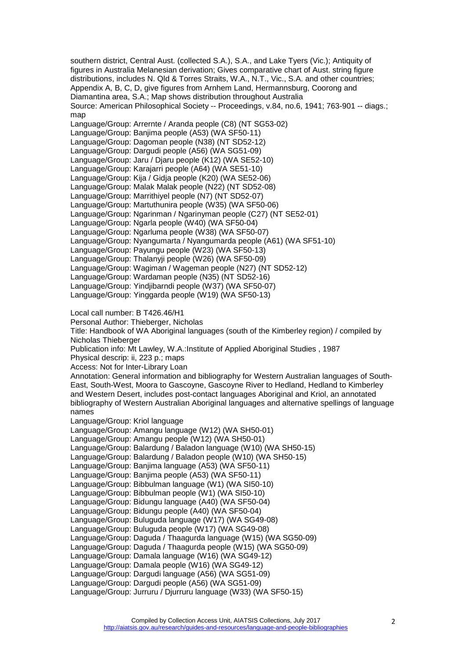southern district, Central Aust. (collected S.A.), S.A., and Lake Tyers (Vic.); Antiquity of figures in Australia Melanesian derivation; Gives comparative chart of Aust. string figure distributions, includes N. Qld & Torres Straits, W.A., N.T., Vic., S.A. and other countries; Appendix A, B, C, D, give figures from Arnhem Land, Hermannsburg, Coorong and Diamantina area, S.A.; Map shows distribution throughout Australia Source: American Philosophical Society -- Proceedings, v.84, no.6, 1941; 763-901 -- diags.; map Language/Group: Arrernte / Aranda people (C8) (NT SG53-02) Language/Group: Banjima people (A53) (WA SF50-11) Language/Group: Dagoman people (N38) (NT SD52-12) Language/Group: Dargudi people (A56) (WA SG51-09) Language/Group: Jaru / Djaru people (K12) (WA SE52-10) Language/Group: Karajarri people (A64) (WA SE51-10) Language/Group: Kija / Gidja people (K20) (WA SE52-06) Language/Group: Malak Malak people (N22) (NT SD52-08) Language/Group: Marrithiyel people (N7) (NT SD52-07) Language/Group: Martuthunira people (W35) (WA SF50-06) Language/Group: Ngarinman / Ngarinyman people (C27) (NT SE52-01) Language/Group: Ngarla people (W40) (WA SF50-04) Language/Group: Ngarluma people (W38) (WA SF50-07) Language/Group: Nyangumarta / Nyangumarda people (A61) (WA SF51-10) Language/Group: Payungu people (W23) (WA SF50-13) Language/Group: Thalanyji people (W26) (WA SF50-09) Language/Group: Wagiman / Wageman people (N27) (NT SD52-12) Language/Group: Wardaman people (N35) (NT SD52-16) Language/Group: Yindjibarndi people (W37) (WA SF50-07) Language/Group: Yinggarda people (W19) (WA SF50-13) Local call number: B T426.46/H1 Personal Author: Thieberger, Nicholas Title: Handbook of WA Aboriginal languages (south of the Kimberley region) / compiled by Nicholas Thieberger Publication info: Mt Lawley, W.A.:Institute of Applied Aboriginal Studies , 1987 Physical descrip: ii, 223 p.; maps Access: Not for Inter-Library Loan Annotation: General information and bibliography for Western Australian languages of South-East, South-West, Moora to Gascoyne, Gascoyne River to Hedland, Hedland to Kimberley and Western Desert, includes post-contact languages Aboriginal and Kriol, an annotated bibliography of Western Australian Aboriginal languages and alternative spellings of language names Language/Group: Kriol language Language/Group: Amangu language (W12) (WA SH50-01) Language/Group: Amangu people (W12) (WA SH50-01)

Language/Group: Balardung / Baladon language (W10) (WA SH50-15)

Language/Group: Balardung / Baladon people (W10) (WA SH50-15)

Language/Group: Banjima language (A53) (WA SF50-11)

Language/Group: Banjima people (A53) (WA SF50-11)

Language/Group: Bibbulman language (W1) (WA SI50-10)

Language/Group: Bibbulman people (W1) (WA SI50-10)

Language/Group: Bidungu language (A40) (WA SF50-04)

Language/Group: Bidungu people (A40) (WA SF50-04)

Language/Group: Buluguda language (W17) (WA SG49-08)

Language/Group: Buluguda people (W17) (WA SG49-08)

Language/Group: Daguda / Thaagurda language (W15) (WA SG50-09)

Language/Group: Daguda / Thaagurda people (W15) (WA SG50-09)

Language/Group: Damala language (W16) (WA SG49-12)

Language/Group: Damala people (W16) (WA SG49-12) Language/Group: Dargudi language (A56) (WA SG51-09)

Language/Group: Dargudi people (A56) (WA SG51-09)

Language/Group: Jurruru / Djurruru language (W33) (WA SF50-15)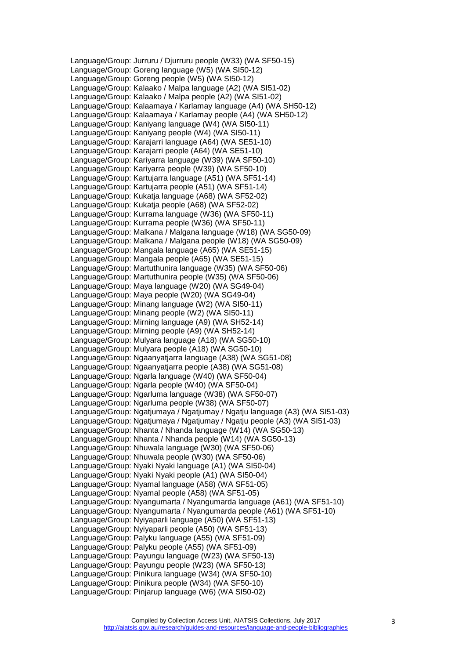Language/Group: Jurruru / Djurruru people (W33) (WA SF50-15) Language/Group: Goreng language (W5) (WA SI50-12) Language/Group: Goreng people (W5) (WA SI50-12) Language/Group: Kalaako / Malpa language (A2) (WA SI51-02) Language/Group: Kalaako / Malpa people (A2) (WA SI51-02) Language/Group: Kalaamaya / Karlamay language (A4) (WA SH50-12) Language/Group: Kalaamaya / Karlamay people (A4) (WA SH50-12) Language/Group: Kaniyang language (W4) (WA SI50-11) Language/Group: Kaniyang people (W4) (WA SI50-11) Language/Group: Karajarri language (A64) (WA SE51-10) Language/Group: Karajarri people (A64) (WA SE51-10) Language/Group: Kariyarra language (W39) (WA SF50-10) Language/Group: Kariyarra people (W39) (WA SF50-10) Language/Group: Kartujarra language (A51) (WA SF51-14) Language/Group: Kartujarra people (A51) (WA SF51-14) Language/Group: Kukatja language (A68) (WA SF52-02) Language/Group: Kukatja people (A68) (WA SF52-02) Language/Group: Kurrama language (W36) (WA SF50-11) Language/Group: Kurrama people (W36) (WA SF50-11) Language/Group: Malkana / Malgana language (W18) (WA SG50-09) Language/Group: Malkana / Malgana people (W18) (WA SG50-09) Language/Group: Mangala language (A65) (WA SE51-15) Language/Group: Mangala people (A65) (WA SE51-15) Language/Group: Martuthunira language (W35) (WA SF50-06) Language/Group: Martuthunira people (W35) (WA SF50-06) Language/Group: Maya language (W20) (WA SG49-04) Language/Group: Maya people (W20) (WA SG49-04) Language/Group: Minang language (W2) (WA SI50-11) Language/Group: Minang people (W2) (WA SI50-11) Language/Group: Mirning language (A9) (WA SH52-14) Language/Group: Mirning people (A9) (WA SH52-14) Language/Group: Mulyara language (A18) (WA SG50-10) Language/Group: Mulyara people (A18) (WA SG50-10) Language/Group: Ngaanyatjarra language (A38) (WA SG51-08) Language/Group: Ngaanyatjarra people (A38) (WA SG51-08) Language/Group: Ngarla language (W40) (WA SF50-04) Language/Group: Ngarla people (W40) (WA SF50-04) Language/Group: Ngarluma language (W38) (WA SF50-07) Language/Group: Ngarluma people (W38) (WA SF50-07) Language/Group: Ngatjumaya / Ngatjumay / Ngatju language (A3) (WA SI51-03) Language/Group: Ngatjumaya / Ngatjumay / Ngatju people (A3) (WA SI51-03) Language/Group: Nhanta / Nhanda language (W14) (WA SG50-13) Language/Group: Nhanta / Nhanda people (W14) (WA SG50-13) Language/Group: Nhuwala language (W30) (WA SF50-06) Language/Group: Nhuwala people (W30) (WA SF50-06) Language/Group: Nyaki Nyaki language (A1) (WA SI50-04) Language/Group: Nyaki Nyaki people (A1) (WA SI50-04) Language/Group: Nyamal language (A58) (WA SF51-05) Language/Group: Nyamal people (A58) (WA SF51-05) Language/Group: Nyangumarta / Nyangumarda language (A61) (WA SF51-10) Language/Group: Nyangumarta / Nyangumarda people (A61) (WA SF51-10) Language/Group: Nyiyaparli language (A50) (WA SF51-13) Language/Group: Nyiyaparli people (A50) (WA SF51-13) Language/Group: Palyku language (A55) (WA SF51-09) Language/Group: Palyku people (A55) (WA SF51-09) Language/Group: Payungu language (W23) (WA SF50-13) Language/Group: Payungu people (W23) (WA SF50-13) Language/Group: Pinikura language (W34) (WA SF50-10) Language/Group: Pinikura people (W34) (WA SF50-10) Language/Group: Pinjarup language (W6) (WA SI50-02)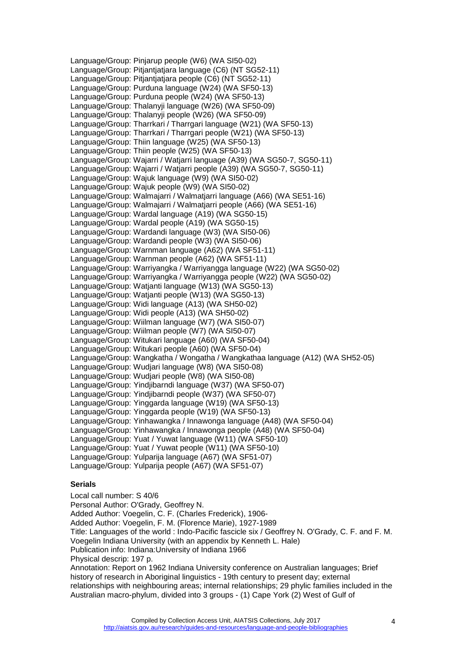Language/Group: Pinjarup people (W6) (WA SI50-02) Language/Group: Pitjantjatjara language (C6) (NT SG52-11) Language/Group: Pitjantjatjara people (C6) (NT SG52-11) Language/Group: Purduna language (W24) (WA SF50-13) Language/Group: Purduna people (W24) (WA SF50-13) Language/Group: Thalanyji language (W26) (WA SF50-09) Language/Group: Thalanyji people (W26) (WA SF50-09) Language/Group: Tharrkari / Tharrgari language (W21) (WA SF50-13) Language/Group: Tharrkari / Tharrgari people (W21) (WA SF50-13) Language/Group: Thiin language (W25) (WA SF50-13) Language/Group: Thiin people (W25) (WA SF50-13) Language/Group: Wajarri / Watjarri language (A39) (WA SG50-7, SG50-11) Language/Group: Wajarri / Watjarri people (A39) (WA SG50-7, SG50-11) Language/Group: Wajuk language (W9) (WA SI50-02) Language/Group: Wajuk people (W9) (WA SI50-02) Language/Group: Walmajarri / Walmatjarri language (A66) (WA SE51-16) Language/Group: Walmajarri / Walmatjarri people (A66) (WA SE51-16) Language/Group: Wardal language (A19) (WA SG50-15) Language/Group: Wardal people (A19) (WA SG50-15) Language/Group: Wardandi language (W3) (WA SI50-06) Language/Group: Wardandi people (W3) (WA SI50-06) Language/Group: Warnman language (A62) (WA SF51-11) Language/Group: Warnman people (A62) (WA SF51-11) Language/Group: Warriyangka / Warriyangga language (W22) (WA SG50-02) Language/Group: Warriyangka / Warriyangga people (W22) (WA SG50-02) Language/Group: Watjanti language (W13) (WA SG50-13) Language/Group: Watjanti people (W13) (WA SG50-13) Language/Group: Widi language (A13) (WA SH50-02) Language/Group: Widi people (A13) (WA SH50-02) Language/Group: Wiilman language (W7) (WA SI50-07) Language/Group: Wiilman people (W7) (WA SI50-07) Language/Group: Witukari language (A60) (WA SF50-04) Language/Group: Witukari people (A60) (WA SF50-04) Language/Group: Wangkatha / Wongatha / Wangkathaa language (A12) (WA SH52-05) Language/Group: Wudjari language (W8) (WA SI50-08) Language/Group: Wudjari people (W8) (WA SI50-08) Language/Group: Yindjibarndi language (W37) (WA SF50-07) Language/Group: Yindjibarndi people (W37) (WA SF50-07) Language/Group: Yinggarda language (W19) (WA SF50-13) Language/Group: Yinggarda people (W19) (WA SF50-13) Language/Group: Yinhawangka / Innawonga language (A48) (WA SF50-04) Language/Group: Yinhawangka / Innawonga people (A48) (WA SF50-04) Language/Group: Yuat / Yuwat language (W11) (WA SF50-10) Language/Group: Yuat / Yuwat people (W11) (WA SF50-10) Language/Group: Yulparija language (A67) (WA SF51-07) Language/Group: Yulparija people (A67) (WA SF51-07)

## <span id="page-3-0"></span>**Serials**

Local call number: S 40/6 Personal Author: O'Grady, Geoffrey N. Added Author: Voegelin, C. F. (Charles Frederick), 1906- Added Author: Voegelin, F. M. (Florence Marie), 1927-1989 Title: Languages of the world : Indo-Pacific fascicle six / Geoffrey N. O'Grady, C. F. and F. M. Voegelin Indiana University (with an appendix by Kenneth L. Hale) Publication info: Indiana:University of Indiana 1966 Physical descrip: 197 p. Annotation: Report on 1962 Indiana University conference on Australian languages; Brief history of research in Aboriginal linguistics - 19th century to present day; external relationships with neighbouring areas; internal relationships; 29 phylic families included in the Australian macro-phylum, divided into 3 groups - (1) Cape York (2) West of Gulf of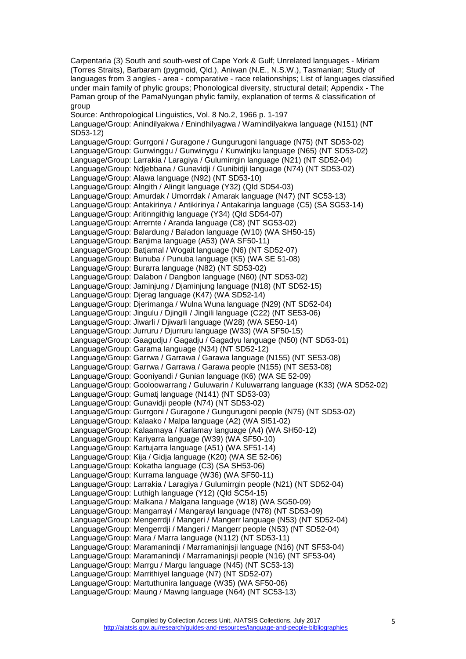Carpentaria (3) South and south-west of Cape York & Gulf; Unrelated languages - Miriam (Torres Straits), Barbaram (pygmoid, Qld.), Aniwan (N.E., N.S.W.), Tasmanian; Study of languages from 3 angles - area - comparative - race relationships; List of languages classified under main family of phylic groups; Phonological diversity, structural detail; Appendix - The Paman group of the PamaNyungan phylic family, explanation of terms & classification of group Source: Anthropological Linguistics, Vol. 8 No.2, 1966 p. 1-197 Language/Group: Anindilyakwa / Enindhilyagwa / Warnindilyakwa language (N151) (NT SD53-12) Language/Group: Gurrgoni / Guragone / Gungurugoni language (N75) (NT SD53-02) Language/Group: Gunwinggu / Gunwinygu / Kunwinjku language (N65) (NT SD53-02) Language/Group: Larrakia / Laragiya / Gulumirrgin language (N21) (NT SD52-04) Language/Group: Ndjebbana / Gunavidji / Gunibidji language (N74) (NT SD53-02) Language/Group: Alawa language (N92) (NT SD53-10) Language/Group: Alngith / Alingit language (Y32) (Qld SD54-03) Language/Group: Amurdak / Umorrdak / Amarak language (N47) (NT SC53-13) Language/Group: Antakirinya / Antikirinya / Antakarinja language (C5) (SA SG53-14) Language/Group: Aritinngithig language (Y34) (Qld SD54-07) Language/Group: Arrernte / Aranda language (C8) (NT SG53-02) Language/Group: Balardung / Baladon language (W10) (WA SH50-15) Language/Group: Banjima language (A53) (WA SF50-11) Language/Group: Batjamal / Wogait language (N6) (NT SD52-07) Language/Group: Bunuba / Punuba language (K5) (WA SE 51-08) Language/Group: Burarra language (N82) (NT SD53-02) Language/Group: Dalabon / Dangbon language (N60) (NT SD53-02) Language/Group: Jaminjung / Djaminjung language (N18) (NT SD52-15) Language/Group: Djerag language (K47) (WA SD52-14) Language/Group: Djerimanga / Wulna Wuna language (N29) (NT SD52-04) Language/Group: Jingulu / Djingili / Jingili language (C22) (NT SE53-06) Language/Group: Jiwarli / Djiwarli language (W28) (WA SE50-14) Language/Group: Jurruru / Djurruru language (W33) (WA SF50-15) Language/Group: Gaagudju / Gagadju / Gagadyu language (N50) (NT SD53-01) Language/Group: Garama language (N34) (NT SD52-12) Language/Group: Garrwa / Garrawa / Garawa language (N155) (NT SE53-08) Language/Group: Garrwa / Garrawa / Garawa people (N155) (NT SE53-08) Language/Group: Gooniyandi / Gunian language (K6) (WA SE 52-09) Language/Group: Gooloowarrang / Guluwarin / Kuluwarrang language (K33) (WA SD52-02) Language/Group: Gumatj language (N141) (NT SD53-03) Language/Group: Gunavidji people (N74) (NT SD53-02) Language/Group: Gurrgoni / Guragone / Gungurugoni people (N75) (NT SD53-02) Language/Group: Kalaako / Malpa language (A2) (WA SI51-02) Language/Group: Kalaamaya / Karlamay language (A4) (WA SH50-12) Language/Group: Kariyarra language (W39) (WA SF50-10) Language/Group: Kartujarra language (A51) (WA SF51-14) Language/Group: Kija / Gidja language (K20) (WA SE 52-06) Language/Group: Kokatha language (C3) (SA SH53-06) Language/Group: Kurrama language (W36) (WA SF50-11) Language/Group: Larrakia / Laragiya / Gulumirrgin people (N21) (NT SD52-04) Language/Group: Luthigh language (Y12) (Qld SC54-15) Language/Group: Malkana / Malgana language (W18) (WA SG50-09) Language/Group: Mangarrayi / Mangarayi language (N78) (NT SD53-09) Language/Group: Mengerrdji / Mangeri / Mangerr language (N53) (NT SD52-04) Language/Group: Mengerrdji / Mangeri / Mangerr people (N53) (NT SD52-04) Language/Group: Mara / Marra language (N112) (NT SD53-11) Language/Group: Maramanindji / Marramaninjsji language (N16) (NT SF53-04) Language/Group: Maramanindji / Marramaninjsji people (N16) (NT SF53-04) Language/Group: Marrgu / Margu language (N45) (NT SC53-13) Language/Group: Marrithiyel language (N7) (NT SD52-07) Language/Group: Martuthunira language (W35) (WA SF50-06) Language/Group: Maung / Mawng language (N64) (NT SC53-13)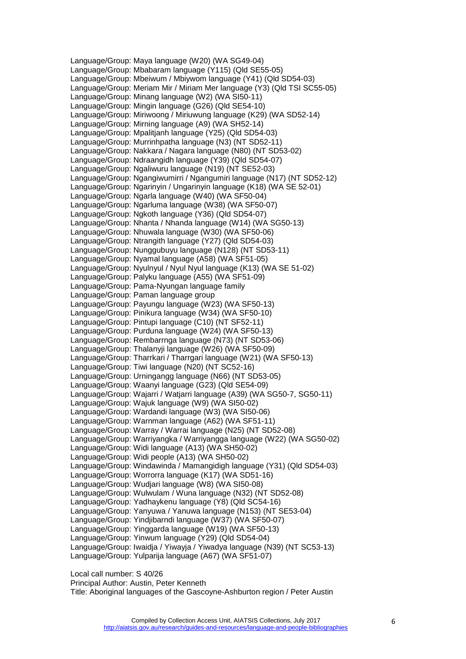Language/Group: Maya language (W20) (WA SG49-04) Language/Group: Mbabaram language (Y115) (Qld SE55-05) Language/Group: Mbeiwum / Mbiywom language (Y41) (Qld SD54-03) Language/Group: Meriam Mir / Miriam Mer language (Y3) (Qld TSI SC55-05) Language/Group: Minang language (W2) (WA SI50-11) Language/Group: Mingin language (G26) (Qld SE54-10) Language/Group: Miriwoong / Miriuwung language (K29) (WA SD52-14) Language/Group: Mirning language (A9) (WA SH52-14) Language/Group: Mpalitjanh language (Y25) (Qld SD54-03) Language/Group: Murrinhpatha language (N3) (NT SD52-11) Language/Group: Nakkara / Nagara language (N80) (NT SD53-02) Language/Group: Ndraangidh language (Y39) (Qld SD54-07) Language/Group: Ngaliwuru language (N19) (NT SE52-03) Language/Group: Ngangiwumirri / Ngangumiri language (N17) (NT SD52-12) Language/Group: Ngarinyin / Ungarinyin language (K18) (WA SE 52-01) Language/Group: Ngarla language (W40) (WA SF50-04) Language/Group: Ngarluma language (W38) (WA SF50-07) Language/Group: Ngkoth language (Y36) (Qld SD54-07) Language/Group: Nhanta / Nhanda language (W14) (WA SG50-13) Language/Group: Nhuwala language (W30) (WA SF50-06) Language/Group: Ntrangith language (Y27) (Qld SD54-03) Language/Group: Nunggubuyu language (N128) (NT SD53-11) Language/Group: Nyamal language (A58) (WA SF51-05) Language/Group: Nyulnyul / Nyul Nyul language (K13) (WA SE 51-02) Language/Group: Palyku language (A55) (WA SF51-09) Language/Group: Pama-Nyungan language family Language/Group: Paman language group Language/Group: Payungu language (W23) (WA SF50-13) Language/Group: Pinikura language (W34) (WA SF50-10) Language/Group: Pintupi language (C10) (NT SF52-11) Language/Group: Purduna language (W24) (WA SF50-13) Language/Group: Rembarrnga language (N73) (NT SD53-06) Language/Group: Thalanyji language (W26) (WA SF50-09) Language/Group: Tharrkari / Tharrgari language (W21) (WA SF50-13) Language/Group: Tiwi language (N20) (NT SC52-16) Language/Group: Urningangg language (N66) (NT SD53-05) Language/Group: Waanyi language (G23) (Qld SE54-09) Language/Group: Wajarri / Watjarri language (A39) (WA SG50-7, SG50-11) Language/Group: Wajuk language (W9) (WA SI50-02) Language/Group: Wardandi language (W3) (WA SI50-06) Language/Group: Warnman language (A62) (WA SF51-11) Language/Group: Warray / Warrai language (N25) (NT SD52-08) Language/Group: Warriyangka / Warriyangga language (W22) (WA SG50-02) Language/Group: Widi language (A13) (WA SH50-02) Language/Group: Widi people (A13) (WA SH50-02) Language/Group: Windawinda / Mamangidigh language (Y31) (Qld SD54-03) Language/Group: Worrorra language (K17) (WA SD51-16) Language/Group: Wudjari language (W8) (WA SI50-08) Language/Group: Wulwulam / Wuna language (N32) (NT SD52-08) Language/Group: Yadhaykenu language (Y8) (Qld SC54-16) Language/Group: Yanyuwa / Yanuwa language (N153) (NT SE53-04) Language/Group: Yindjibarndi language (W37) (WA SF50-07) Language/Group: Yinggarda language (W19) (WA SF50-13) Language/Group: Yinwum language (Y29) (Qld SD54-04) Language/Group: Iwaidja / Yiwayja / Yiwadya language (N39) (NT SC53-13) Language/Group: Yulparija language (A67) (WA SF51-07)

Local call number: S 40/26

Principal Author: Austin, Peter Kenneth

Title: Aboriginal languages of the Gascoyne-Ashburton region / Peter Austin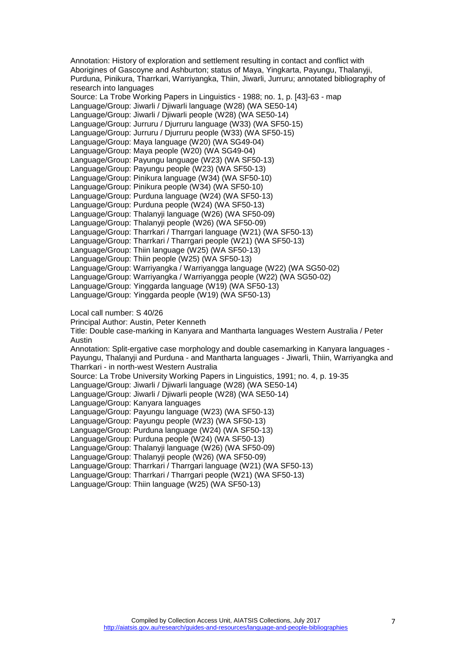Annotation: History of exploration and settlement resulting in contact and conflict with Aborigines of Gascoyne and Ashburton; status of Maya, Yingkarta, Payungu, Thalanyji, Purduna, Pinikura, Tharrkari, Warriyangka, Thiin, Jiwarli, Jurruru; annotated bibliography of research into languages Source: La Trobe Working Papers in Linguistics - 1988; no. 1, p. [43]-63 - map Language/Group: Jiwarli / Djiwarli language (W28) (WA SE50-14) Language/Group: Jiwarli / Djiwarli people (W28) (WA SE50-14) Language/Group: Jurruru / Djurruru language (W33) (WA SF50-15) Language/Group: Jurruru / Djurruru people (W33) (WA SF50-15) Language/Group: Maya language (W20) (WA SG49-04) Language/Group: Maya people (W20) (WA SG49-04) Language/Group: Payungu language (W23) (WA SF50-13) Language/Group: Payungu people (W23) (WA SF50-13) Language/Group: Pinikura language (W34) (WA SF50-10) Language/Group: Pinikura people (W34) (WA SF50-10) Language/Group: Purduna language (W24) (WA SF50-13) Language/Group: Purduna people (W24) (WA SF50-13) Language/Group: Thalanyji language (W26) (WA SF50-09) Language/Group: Thalanyji people (W26) (WA SF50-09) Language/Group: Tharrkari / Tharrgari language (W21) (WA SF50-13) Language/Group: Tharrkari / Tharrgari people (W21) (WA SF50-13) Language/Group: Thiin language (W25) (WA SF50-13) Language/Group: Thiin people (W25) (WA SF50-13) Language/Group: Warriyangka / Warriyangga language (W22) (WA SG50-02) Language/Group: Warriyangka / Warriyangga people (W22) (WA SG50-02) Language/Group: Yinggarda language (W19) (WA SF50-13) Language/Group: Yinggarda people (W19) (WA SF50-13) Local call number: S 40/26 Principal Author: Austin, Peter Kenneth Title: Double case-marking in Kanyara and Mantharta languages Western Australia / Peter Austin Annotation: Split-ergative case morphology and double casemarking in Kanyara languages - Payungu, Thalanyji and Purduna - and Mantharta languages - Jiwarli, Thiin, Warriyangka and Tharrkari - in north-west Western Australia Source: La Trobe University Working Papers in Linguistics, 1991; no. 4, p. 19-35 Language/Group: Jiwarli / Djiwarli language (W28) (WA SE50-14) Language/Group: Jiwarli / Djiwarli people (W28) (WA SE50-14) Language/Group: Kanyara languages Language/Group: Payungu language (W23) (WA SF50-13) Language/Group: Payungu people (W23) (WA SF50-13) Language/Group: Purduna language (W24) (WA SF50-13) Language/Group: Purduna people (W24) (WA SF50-13) Language/Group: Thalanyji language (W26) (WA SF50-09) Language/Group: Thalanyji people (W26) (WA SF50-09) Language/Group: Tharrkari / Tharrgari language (W21) (WA SF50-13) Language/Group: Tharrkari / Tharrgari people (W21) (WA SF50-13)

Language/Group: Thiin language (W25) (WA SF50-13)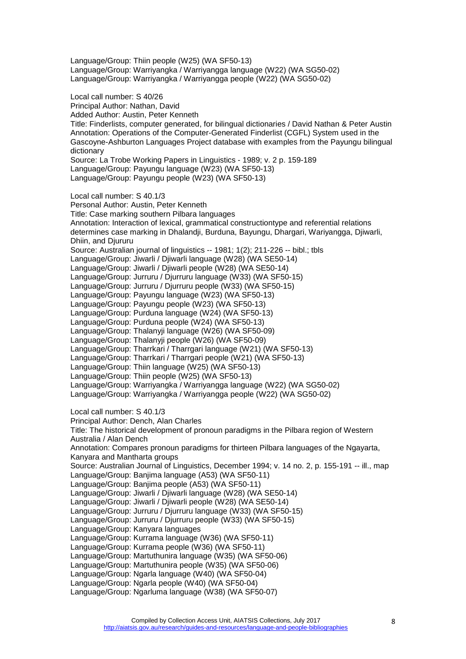Language/Group: Thiin people (W25) (WA SF50-13) Language/Group: Warriyangka / Warriyangga language (W22) (WA SG50-02) Language/Group: Warriyangka / Warriyangga people (W22) (WA SG50-02) Local call number: S 40/26 Principal Author: Nathan, David Added Author: Austin, Peter Kenneth Title: Finderlists, computer generated, for bilingual dictionaries / David Nathan & Peter Austin Annotation: Operations of the Computer-Generated Finderlist (CGFL) System used in the Gascoyne-Ashburton Languages Project database with examples from the Payungu bilingual dictionary Source: La Trobe Working Papers in Linguistics - 1989; v. 2 p. 159-189 Language/Group: Payungu language (W23) (WA SF50-13) Language/Group: Payungu people (W23) (WA SF50-13) Local call number: S 40.1/3 Personal Author: Austin, Peter Kenneth Title: Case marking southern Pilbara languages Annotation: Interaction of lexical, grammatical constructiontype and referential relations determines case marking in Dhalandji, Burduna, Bayungu, Dhargari, Wariyangga, Djiwarli, Dhiin, and Djururu Source: Australian journal of linguistics -- 1981; 1(2); 211-226 -- bibl.; tbls Language/Group: Jiwarli / Djiwarli language (W28) (WA SE50-14) Language/Group: Jiwarli / Djiwarli people (W28) (WA SE50-14) Language/Group: Jurruru / Djurruru language (W33) (WA SF50-15) Language/Group: Jurruru / Djurruru people (W33) (WA SF50-15) Language/Group: Payungu language (W23) (WA SF50-13) Language/Group: Payungu people (W23) (WA SF50-13) Language/Group: Purduna language (W24) (WA SF50-13) Language/Group: Purduna people (W24) (WA SF50-13) Language/Group: Thalanyji language (W26) (WA SF50-09) Language/Group: Thalanyji people (W26) (WA SF50-09) Language/Group: Tharrkari / Tharrgari language (W21) (WA SF50-13) Language/Group: Tharrkari / Tharrgari people (W21) (WA SF50-13) Language/Group: Thiin language (W25) (WA SF50-13) Language/Group: Thiin people (W25) (WA SF50-13) Language/Group: Warriyangka / Warriyangga language (W22) (WA SG50-02) Language/Group: Warriyangka / Warriyangga people (W22) (WA SG50-02) Local call number: S 40.1/3 Principal Author: Dench, Alan Charles Title: The historical development of pronoun paradigms in the Pilbara region of Western Australia / Alan Dench Annotation: Compares pronoun paradigms for thirteen Pilbara languages of the Ngayarta, Kanyara and Mantharta groups Source: Australian Journal of Linguistics, December 1994; v. 14 no. 2, p. 155-191 -- ill., map

Language/Group: Banjima language (A53) (WA SF50-11)

Language/Group: Banjima people (A53) (WA SF50-11)

Language/Group: Jiwarli / Djiwarli language (W28) (WA SE50-14)

Language/Group: Jiwarli / Djiwarli people (W28) (WA SE50-14)

Language/Group: Jurruru / Djurruru language (W33) (WA SF50-15)

- Language/Group: Jurruru / Djurruru people (W33) (WA SF50-15)
- Language/Group: Kanyara languages

Language/Group: Kurrama language (W36) (WA SF50-11)

Language/Group: Kurrama people (W36) (WA SF50-11)

Language/Group: Martuthunira language (W35) (WA SF50-06)

- Language/Group: Martuthunira people (W35) (WA SF50-06)
- Language/Group: Ngarla language (W40) (WA SF50-04)
- Language/Group: Ngarla people (W40) (WA SF50-04)

Language/Group: Ngarluma language (W38) (WA SF50-07)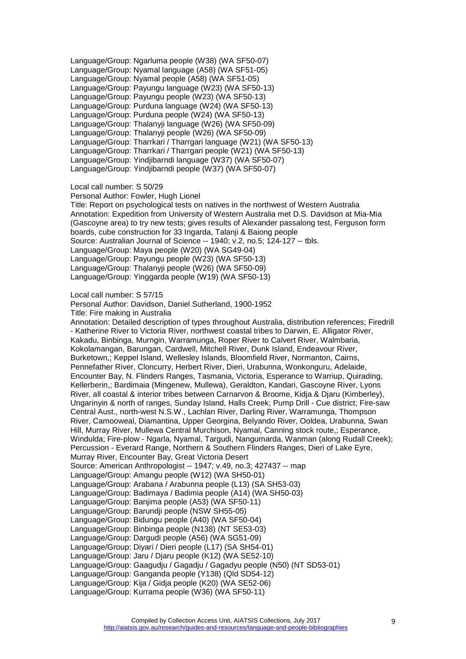Language/Group: Ngarluma people (W38) (WA SF50-07) Language/Group: Nyamal language (A58) (WA SF51-05) Language/Group: Nyamal people (A58) (WA SF51-05) Language/Group: Payungu language (W23) (WA SF50-13) Language/Group: Payungu people (W23) (WA SF50-13) Language/Group: Purduna language (W24) (WA SF50-13) Language/Group: Purduna people (W24) (WA SF50-13) Language/Group: Thalanyji language (W26) (WA SF50-09) Language/Group: Thalanyji people (W26) (WA SF50-09) Language/Group: Tharrkari / Tharrgari language (W21) (WA SF50-13) Language/Group: Tharrkari / Tharrgari people (W21) (WA SF50-13) Language/Group: Yindjibarndi language (W37) (WA SF50-07) Language/Group: Yindjibarndi people (W37) (WA SF50-07)

Local call number: S 50/29

Personal Author: Fowler, Hugh Lionel

Title: Report on psychological tests on natives in the northwest of Western Australia Annotation: Expedition from University of Western Australia met D.S. Davidson at Mia-Mia (Gascoyne area) to try new tests; gives results of Alexander passalong test, Ferguson form boards, cube construction for 33 Ingarda, Talanji & Baiong people Source: Australian Journal of Science -- 1940; v.2, no.5; 124-127 -- tbls. Language/Group: Maya people (W20) (WA SG49-04) Language/Group: Payungu people (W23) (WA SF50-13) Language/Group: Thalanyji people (W26) (WA SF50-09) Language/Group: Yinggarda people (W19) (WA SF50-13)

Local call number: S 57/15

Personal Author: Davidson, Daniel Sutherland, 1900-1952 Title: Fire making in Australia

Annotation: Detailed description of types throughout Australia, distribution references; Firedrill - Katherine River to Victoria River, northwest coastal tribes to Darwin, E. Alligator River, Kakadu, Binbinga, Murngin, Warramunga, Roper River to Calvert River, Walmbaria, Kokolamangan, Barungan, Cardwell, Mitchell River, Dunk Island, Endeavour River, Burketown,; Keppel Island, Wellesley Islands, Bloomfield River, Normanton, Cairns, Pennefather River, Cloncurry, Herbert River, Dieri, Urabunna, Wonkonguru, Adelaide, Encounter Bay, N. Flinders Ranges, Tasmania, Victoria, Esperance to Warriup, Quirading, Kellerberin,; Bardimaia (Mingenew, Mullewa), Geraldton, Kandari, Gascoyne River, Lyons River, all coastal & interior tribes between Carnarvon & Broome, Kidja & Djaru (Kimberley), Ungarinyin & north of ranges, Sunday Island, Halls Creek; Pump Drill - Cue district; Fire-saw Central Aust., north-west N.S.W., Lachlan River, Darling River, Warramunga, Thompson River, Camooweal, Diamantina, Upper Georgina, Belyando River, Ooldea, Urabunna, Swan Hill, Murray River, Mullewa Central Murchison, Nyamal, Canning stock route,; Esperance, Windulda; Fire-plow - Ngarla, Nyamal, Targudi, Nangumarda, Wanman (along Rudall Creek); Percussion - Everard Range, Northern & Southern Flinders Ranges, Dieri of Lake Eyre, Murray River, Encounter Bay, Great Victoria Desert Source: American Anthropologist -- 1947; v.49, no.3; 427437 -- map Language/Group: Amangu people (W12) (WA SH50-01) Language/Group: Arabana / Arabunna people (L13) (SA SH53-03) Language/Group: Badimaya / Badimia people (A14) (WA SH50-03) Language/Group: Banjima people (A53) (WA SF50-11) Language/Group: Barundji people (NSW SH55-05) Language/Group: Bidungu people (A40) (WA SF50-04) Language/Group: Binbinga people (N138) (NT SE53-03) Language/Group: Dargudi people (A56) (WA SG51-09) Language/Group: Diyari / Dieri people (L17) (SA SH54-01) Language/Group: Jaru / Djaru people (K12) (WA SE52-10) Language/Group: Gaagudju / Gagadju / Gagadyu people (N50) (NT SD53-01) Language/Group: Ganganda people (Y138) (Qld SD54-12) Language/Group: Kija / Gidja people (K20) (WA SE52-06) Language/Group: Kurrama people (W36) (WA SF50-11)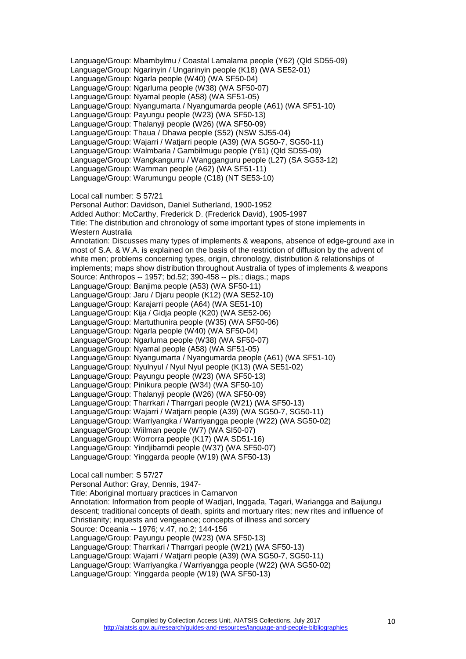Language/Group: Mbambylmu / Coastal Lamalama people (Y62) (Qld SD55-09) Language/Group: Ngarinyin / Ungarinyin people (K18) (WA SE52-01) Language/Group: Ngarla people (W40) (WA SF50-04) Language/Group: Ngarluma people (W38) (WA SF50-07) Language/Group: Nyamal people (A58) (WA SF51-05) Language/Group: Nyangumarta / Nyangumarda people (A61) (WA SF51-10) Language/Group: Payungu people (W23) (WA SF50-13) Language/Group: Thalanyji people (W26) (WA SF50-09) Language/Group: Thaua / Dhawa people (S52) (NSW SJ55-04) Language/Group: Wajarri / Watjarri people (A39) (WA SG50-7, SG50-11) Language/Group: Walmbaria / Gambilmugu people (Y61) (Qld SD55-09) Language/Group: Wangkangurru / Wangganguru people (L27) (SA SG53-12) Language/Group: Warnman people (A62) (WA SF51-11) Language/Group: Warumungu people (C18) (NT SE53-10) Local call number: S 57/21 Personal Author: Davidson, Daniel Sutherland, 1900-1952 Added Author: McCarthy, Frederick D. (Frederick David), 1905-1997 Title: The distribution and chronology of some important types of stone implements in Western Australia Annotation: Discusses many types of implements & weapons, absence of edge-ground axe in most of S.A. & W.A. is explained on the basis of the restriction of diffusion by the advent of white men; problems concerning types, origin, chronology, distribution & relationships of implements; maps show distribution throughout Australia of types of implements & weapons Source: Anthropos -- 1957; bd.52; 390-458 -- pls.; diags.; maps Language/Group: Banjima people (A53) (WA SF50-11) Language/Group: Jaru / Djaru people (K12) (WA SE52-10) Language/Group: Karajarri people (A64) (WA SE51-10) Language/Group: Kija / Gidja people (K20) (WA SE52-06) Language/Group: Martuthunira people (W35) (WA SF50-06) Language/Group: Ngarla people (W40) (WA SF50-04) Language/Group: Ngarluma people (W38) (WA SF50-07) Language/Group: Nyamal people (A58) (WA SF51-05) Language/Group: Nyangumarta / Nyangumarda people (A61) (WA SF51-10) Language/Group: Nyulnyul / Nyul Nyul people (K13) (WA SE51-02) Language/Group: Payungu people (W23) (WA SF50-13) Language/Group: Pinikura people (W34) (WA SF50-10) Language/Group: Thalanyji people (W26) (WA SF50-09) Language/Group: Tharrkari / Tharrgari people (W21) (WA SF50-13) Language/Group: Wajarri / Watjarri people (A39) (WA SG50-7, SG50-11) Language/Group: Warriyangka / Warriyangga people (W22) (WA SG50-02) Language/Group: Wiilman people (W7) (WA SI50-07) Language/Group: Worrorra people (K17) (WA SD51-16) Language/Group: Yindjibarndi people (W37) (WA SF50-07) Language/Group: Yinggarda people (W19) (WA SF50-13) Local call number: S 57/27 Personal Author: Gray, Dennis, 1947-

Title: Aboriginal mortuary practices in Carnarvon Annotation: Information from people of Wadjari, Inggada, Tagari, Wariangga and Baijungu descent; traditional concepts of death, spirits and mortuary rites; new rites and influence of Christianity; inquests and vengeance; concepts of illness and sorcery Source: Oceania -- 1976; v.47, no.2; 144-156 Language/Group: Payungu people (W23) (WA SF50-13) Language/Group: Tharrkari / Tharrgari people (W21) (WA SF50-13) Language/Group: Wajarri / Watjarri people (A39) (WA SG50-7, SG50-11) Language/Group: Warriyangka / Warriyangga people (W22) (WA SG50-02) Language/Group: Yinggarda people (W19) (WA SF50-13)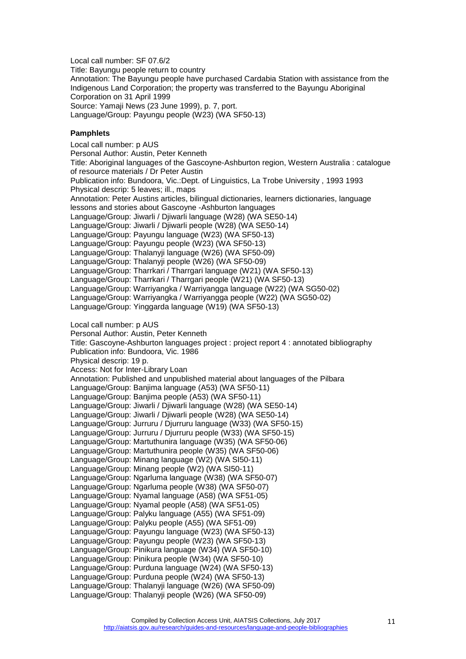Local call number: SF 07.6/2 Title: Bayungu people return to country Annotation: The Bayungu people have purchased Cardabia Station with assistance from the Indigenous Land Corporation; the property was transferred to the Bayungu Aboriginal Corporation on 31 April 1999 Source: Yamaji News (23 June 1999), p. 7, port. Language/Group: Payungu people (W23) (WA SF50-13)

#### <span id="page-10-0"></span>**Pamphlets**

Local call number: p AUS Personal Author: Austin, Peter Kenneth Title: Aboriginal languages of the Gascoyne-Ashburton region, Western Australia : catalogue of resource materials / Dr Peter Austin Publication info: Bundoora, Vic.:Dept. of Linguistics, La Trobe University , 1993 1993 Physical descrip: 5 leaves; ill., maps Annotation: Peter Austins articles, bilingual dictionaries, learners dictionaries, language lessons and stories about Gascoyne -Ashburton languages Language/Group: Jiwarli / Djiwarli language (W28) (WA SE50-14) Language/Group: Jiwarli / Djiwarli people (W28) (WA SE50-14) Language/Group: Payungu language (W23) (WA SF50-13) Language/Group: Payungu people (W23) (WA SF50-13) Language/Group: Thalanyji language (W26) (WA SF50-09) Language/Group: Thalanyji people (W26) (WA SF50-09) Language/Group: Tharrkari / Tharrgari language (W21) (WA SF50-13) Language/Group: Tharrkari / Tharrgari people (W21) (WA SF50-13) Language/Group: Warriyangka / Warriyangga language (W22) (WA SG50-02) Language/Group: Warriyangka / Warriyangga people (W22) (WA SG50-02) Language/Group: Yinggarda language (W19) (WA SF50-13) Local call number: p AUS Personal Author: Austin, Peter Kenneth Title: Gascoyne-Ashburton languages project : project report 4 : annotated bibliography Publication info: Bundoora, Vic. 1986 Physical descrip: 19 p. Access: Not for Inter-Library Loan Annotation: Published and unpublished material about languages of the Pilbara Language/Group: Banjima language (A53) (WA SF50-11) Language/Group: Banjima people (A53) (WA SF50-11) Language/Group: Jiwarli / Djiwarli language (W28) (WA SE50-14) Language/Group: Jiwarli / Djiwarli people (W28) (WA SE50-14) Language/Group: Jurruru / Djurruru language (W33) (WA SF50-15) Language/Group: Jurruru / Djurruru people (W33) (WA SF50-15) Language/Group: Martuthunira language (W35) (WA SF50-06) Language/Group: Martuthunira people (W35) (WA SF50-06) Language/Group: Minang language (W2) (WA SI50-11) Language/Group: Minang people (W2) (WA SI50-11) Language/Group: Ngarluma language (W38) (WA SF50-07) Language/Group: Ngarluma people (W38) (WA SF50-07) Language/Group: Nyamal language (A58) (WA SF51-05) Language/Group: Nyamal people (A58) (WA SF51-05) Language/Group: Palyku language (A55) (WA SF51-09) Language/Group: Palyku people (A55) (WA SF51-09) Language/Group: Payungu language (W23) (WA SF50-13) Language/Group: Payungu people (W23) (WA SF50-13) Language/Group: Pinikura language (W34) (WA SF50-10) Language/Group: Pinikura people (W34) (WA SF50-10) Language/Group: Purduna language (W24) (WA SF50-13) Language/Group: Purduna people (W24) (WA SF50-13) Language/Group: Thalanyji language (W26) (WA SF50-09) Language/Group: Thalanyji people (W26) (WA SF50-09)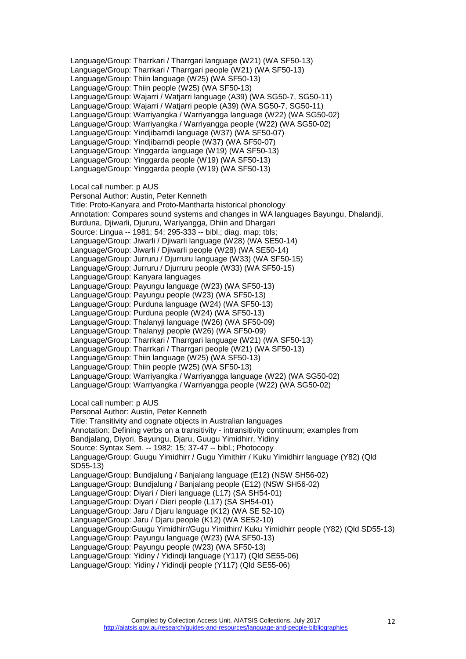Language/Group: Tharrkari / Tharrgari language (W21) (WA SF50-13) Language/Group: Tharrkari / Tharrgari people (W21) (WA SF50-13) Language/Group: Thiin language (W25) (WA SF50-13) Language/Group: Thiin people (W25) (WA SF50-13) Language/Group: Wajarri / Watjarri language (A39) (WA SG50-7, SG50-11) Language/Group: Wajarri / Watjarri people (A39) (WA SG50-7, SG50-11) Language/Group: Warriyangka / Warriyangga language (W22) (WA SG50-02) Language/Group: Warriyangka / Warriyangga people (W22) (WA SG50-02) Language/Group: Yindjibarndi language (W37) (WA SF50-07) Language/Group: Yindjibarndi people (W37) (WA SF50-07) Language/Group: Yinggarda language (W19) (WA SF50-13) Language/Group: Yinggarda people (W19) (WA SF50-13) Language/Group: Yinggarda people (W19) (WA SF50-13) Local call number: p AUS Personal Author: Austin, Peter Kenneth Title: Proto-Kanyara and Proto-Mantharta historical phonology Annotation: Compares sound systems and changes in WA languages Bayungu, Dhalandji, Burduna, Djiwarli, Djururu, Wariyangga, Dhiin and Dhargari Source: Lingua -- 1981; 54; 295-333 -- bibl.; diag. map; tbls; Language/Group: Jiwarli / Djiwarli language (W28) (WA SE50-14) Language/Group: Jiwarli / Djiwarli people (W28) (WA SE50-14) Language/Group: Jurruru / Djurruru language (W33) (WA SF50-15) Language/Group: Jurruru / Djurruru people (W33) (WA SF50-15) Language/Group: Kanyara languages Language/Group: Payungu language (W23) (WA SF50-13) Language/Group: Payungu people (W23) (WA SF50-13) Language/Group: Purduna language (W24) (WA SF50-13) Language/Group: Purduna people (W24) (WA SF50-13) Language/Group: Thalanyji language (W26) (WA SF50-09) Language/Group: Thalanyji people (W26) (WA SF50-09) Language/Group: Tharrkari / Tharrgari language (W21) (WA SF50-13) Language/Group: Tharrkari / Tharrgari people (W21) (WA SF50-13) Language/Group: Thiin language (W25) (WA SF50-13) Language/Group: Thiin people (W25) (WA SF50-13) Language/Group: Warriyangka / Warriyangga language (W22) (WA SG50-02) Language/Group: Warriyangka / Warriyangga people (W22) (WA SG50-02) Local call number: p AUS Personal Author: Austin, Peter Kenneth Title: Transitivity and cognate objects in Australian languages Annotation: Defining verbs on a transitivity - intransitivity continuum; examples from Bandjalang, Diyori, Bayungu, Djaru, Guugu Yimidhirr, Yidiny Source: Syntax Sem. -- 1982; 15; 37-47 -- bibl.; Photocopy Language/Group: Guugu Yimidhirr / Gugu Yimithirr / Kuku Yimidhirr language (Y82) (Qld SD55-13) Language/Group: Bundjalung / Banjalang language (E12) (NSW SH56-02) Language/Group: Bundjalung / Banjalang people (E12) (NSW SH56-02) Language/Group: Diyari / Dieri language (L17) (SA SH54-01) Language/Group: Diyari / Dieri people (L17) (SA SH54-01) Language/Group: Jaru / Djaru language (K12) (WA SE 52-10) Language/Group: Jaru / Djaru people (K12) (WA SE52-10) Language/Group:Guugu Yimidhirr/Gugu Yimithirr/ Kuku Yimidhirr people (Y82) (Qld SD55-13) Language/Group: Payungu language (W23) (WA SF50-13) Language/Group: Payungu people (W23) (WA SF50-13) Language/Group: Yidiny / Yidindji language (Y117) (Qld SE55-06) Language/Group: Yidiny / Yidindji people (Y117) (Qld SE55-06)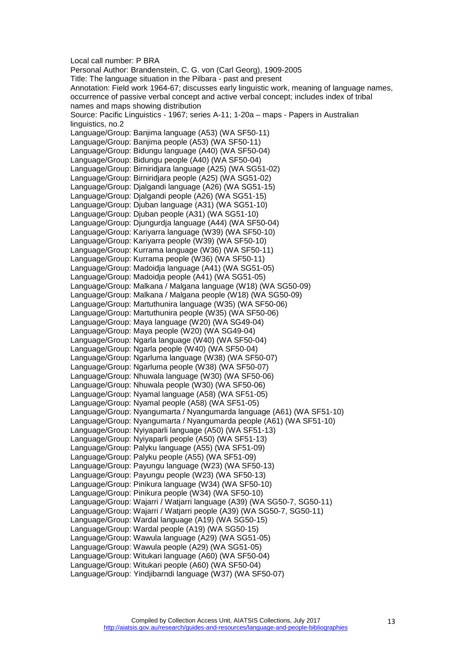Local call number: P BRA Personal Author: Brandenstein, C. G. von (Carl Georg), 1909-2005 Title: The language situation in the Pilbara - past and present Annotation: Field work 1964-67; discusses early linguistic work, meaning of language names, occurrence of passive verbal concept and active verbal concept; includes index of tribal names and maps showing distribution Source: Pacific Linguistics - 1967; series A-11; 1-20a – maps - Papers in Australian linguistics, no.2 Language/Group: Banjima language (A53) (WA SF50-11) Language/Group: Banjima people (A53) (WA SF50-11) Language/Group: Bidungu language (A40) (WA SF50-04) Language/Group: Bidungu people (A40) (WA SF50-04) Language/Group: Birniridjara language (A25) (WA SG51-02) Language/Group: Birniridjara people (A25) (WA SG51-02) Language/Group: Djalgandi language (A26) (WA SG51-15) Language/Group: Djalgandi people (A26) (WA SG51-15) Language/Group: Djuban language (A31) (WA SG51-10) Language/Group: Djuban people (A31) (WA SG51-10) Language/Group: Djungurdja language (A44) (WA SF50-04) Language/Group: Kariyarra language (W39) (WA SF50-10) Language/Group: Kariyarra people (W39) (WA SF50-10) Language/Group: Kurrama language (W36) (WA SF50-11) Language/Group: Kurrama people (W36) (WA SF50-11) Language/Group: Madoidja language (A41) (WA SG51-05) Language/Group: Madoidja people (A41) (WA SG51-05) Language/Group: Malkana / Malgana language (W18) (WA SG50-09) Language/Group: Malkana / Malgana people (W18) (WA SG50-09) Language/Group: Martuthunira language (W35) (WA SF50-06) Language/Group: Martuthunira people (W35) (WA SF50-06) Language/Group: Maya language (W20) (WA SG49-04) Language/Group: Maya people (W20) (WA SG49-04) Language/Group: Ngarla language (W40) (WA SF50-04) Language/Group: Ngarla people (W40) (WA SF50-04) Language/Group: Ngarluma language (W38) (WA SF50-07) Language/Group: Ngarluma people (W38) (WA SF50-07) Language/Group: Nhuwala language (W30) (WA SF50-06) Language/Group: Nhuwala people (W30) (WA SF50-06) Language/Group: Nyamal language (A58) (WA SF51-05) Language/Group: Nyamal people (A58) (WA SF51-05) Language/Group: Nyangumarta / Nyangumarda language (A61) (WA SF51-10) Language/Group: Nyangumarta / Nyangumarda people (A61) (WA SF51-10) Language/Group: Nyiyaparli language (A50) (WA SF51-13) Language/Group: Nyiyaparli people (A50) (WA SF51-13) Language/Group: Palyku language (A55) (WA SF51-09) Language/Group: Palyku people (A55) (WA SF51-09) Language/Group: Payungu language (W23) (WA SF50-13) Language/Group: Payungu people (W23) (WA SF50-13) Language/Group: Pinikura language (W34) (WA SF50-10) Language/Group: Pinikura people (W34) (WA SF50-10) Language/Group: Wajarri / Watjarri language (A39) (WA SG50-7, SG50-11) Language/Group: Wajarri / Watjarri people (A39) (WA SG50-7, SG50-11) Language/Group: Wardal language (A19) (WA SG50-15) Language/Group: Wardal people (A19) (WA SG50-15) Language/Group: Wawula language (A29) (WA SG51-05) Language/Group: Wawula people (A29) (WA SG51-05) Language/Group: Witukari language (A60) (WA SF50-04) Language/Group: Witukari people (A60) (WA SF50-04) Language/Group: Yindjibarndi language (W37) (WA SF50-07)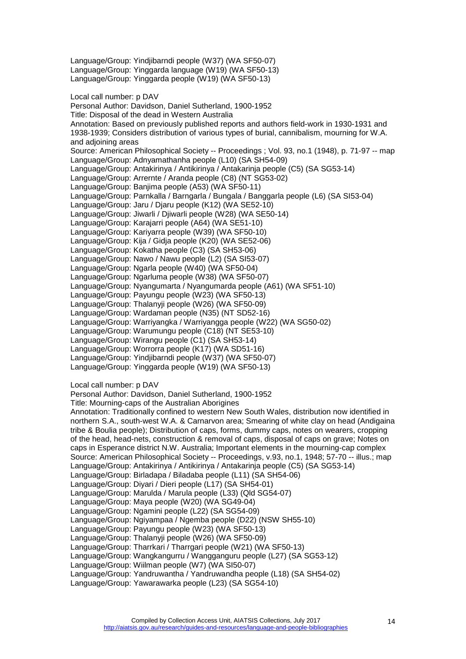Language/Group: Yinggarda language (W19) (WA SF50-13) Language/Group: Yinggarda people (W19) (WA SF50-13) Local call number: p DAV Personal Author: Davidson, Daniel Sutherland, 1900-1952 Title: Disposal of the dead in Western Australia Annotation: Based on previously published reports and authors field-work in 1930-1931 and 1938-1939; Considers distribution of various types of burial, cannibalism, mourning for W.A. and adioining areas Source: American Philosophical Society -- Proceedings ; Vol. 93, no.1 (1948), p. 71-97 -- map Language/Group: Adnyamathanha people (L10) (SA SH54-09) Language/Group: Antakirinya / Antikirinya / Antakarinja people (C5) (SA SG53-14) Language/Group: Arrernte / Aranda people (C8) (NT SG53-02) Language/Group: Banjima people (A53) (WA SF50-11) Language/Group: Parnkalla / Barngarla / Bungala / Banggarla people (L6) (SA SI53-04) Language/Group: Jaru / Djaru people (K12) (WA SE52-10) Language/Group: Jiwarli / Djiwarli people (W28) (WA SE50-14) Language/Group: Karajarri people (A64) (WA SE51-10) Language/Group: Kariyarra people (W39) (WA SF50-10) Language/Group: Kija / Gidja people (K20) (WA SE52-06) Language/Group: Kokatha people (C3) (SA SH53-06) Language/Group: Nawo / Nawu people (L2) (SA SI53-07) Language/Group: Ngarla people (W40) (WA SF50-04) Language/Group: Ngarluma people (W38) (WA SF50-07) Language/Group: Nyangumarta / Nyangumarda people (A61) (WA SF51-10) Language/Group: Payungu people (W23) (WA SF50-13) Language/Group: Thalanyji people (W26) (WA SF50-09) Language/Group: Wardaman people (N35) (NT SD52-16) Language/Group: Warriyangka / Warriyangga people (W22) (WA SG50-02) Language/Group: Warumungu people (C18) (NT SE53-10) Language/Group: Wirangu people (C1) (SA SH53-14) Language/Group: Worrorra people (K17) (WA SD51-16) Language/Group: Yindjibarndi people (W37) (WA SF50-07) Language/Group: Yinggarda people (W19) (WA SF50-13)

Local call number: p DAV

Personal Author: Davidson, Daniel Sutherland, 1900-1952

Language/Group: Yindjibarndi people (W37) (WA SF50-07)

Title: Mourning-caps of the Australian Aborigines

Annotation: Traditionally confined to western New South Wales, distribution now identified in northern S.A., south-west W.A. & Carnarvon area; Smearing of white clay on head (Andigaina tribe & Boulia people); Distribution of caps, forms, dummy caps, notes on wearers, cropping of the head, head-nets, construction & removal of caps, disposal of caps on grave; Notes on caps in Esperance district N.W. Australia; Important elements in the mourning-cap complex Source: American Philosophical Society -- Proceedings, v.93, no.1, 1948; 57-70 -- illus.; map Language/Group: Antakirinya / Antikirinya / Antakarinja people (C5) (SA SG53-14) Language/Group: Birladapa / Biladaba people (L11) (SA SH54-06) Language/Group: Diyari / Dieri people (L17) (SA SH54-01) Language/Group: Marulda / Marula people (L33) (Qld SG54-07) Language/Group: Maya people (W20) (WA SG49-04) Language/Group: Ngamini people (L22) (SA SG54-09) Language/Group: Ngiyampaa / Ngemba people (D22) (NSW SH55-10) Language/Group: Payungu people (W23) (WA SF50-13) Language/Group: Thalanyji people (W26) (WA SF50-09) Language/Group: Tharrkari / Tharrgari people (W21) (WA SF50-13) Language/Group: Wangkangurru / Wangganguru people (L27) (SA SG53-12) Language/Group: Wiilman people (W7) (WA SI50-07) Language/Group: Yandruwantha / Yandruwandha people (L18) (SA SH54-02) Language/Group: Yawarawarka people (L23) (SA SG54-10)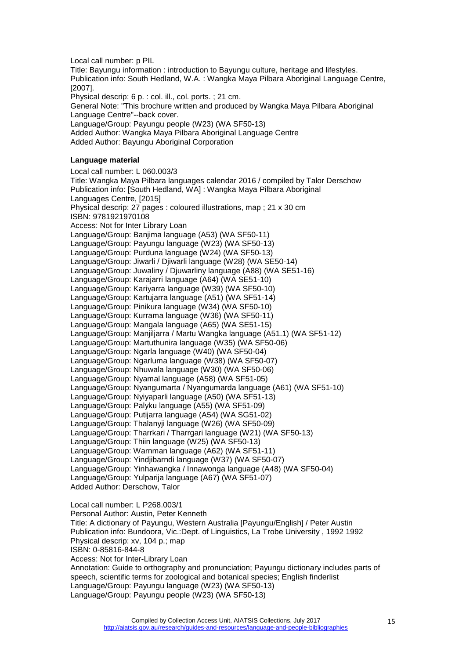Local call number: p PIL

Title: Bayungu information : introduction to Bayungu culture, heritage and lifestyles. Publication info: South Hedland, W.A. : Wangka Maya Pilbara Aboriginal Language Centre, [2007].

Physical descrip: 6 p. : col. ill., col. ports. ; 21 cm. General Note: "This brochure written and produced by Wangka Maya Pilbara Aboriginal Language Centre"--back cover.

Language/Group: Payungu people (W23) (WA SF50-13)

Added Author: Wangka Maya Pilbara Aboriginal Language Centre Added Author: Bayungu Aboriginal Corporation

#### <span id="page-14-0"></span>**Language material**

Local call number: L 060.003/3 Title: Wangka Maya Pilbara languages calendar 2016 / compiled by Talor Derschow Publication info: [South Hedland, WA] : Wangka Maya Pilbara Aboriginal Languages Centre, [2015] Physical descrip: 27 pages : coloured illustrations, map ; 21 x 30 cm ISBN: 9781921970108 Access: Not for Inter Library Loan Language/Group: Banjima language (A53) (WA SF50-11) Language/Group: Payungu language (W23) (WA SF50-13) Language/Group: Purduna language (W24) (WA SF50-13) Language/Group: Jiwarli / Djiwarli language (W28) (WA SE50-14) Language/Group: Juwaliny / Djuwarliny language (A88) (WA SE51-16) Language/Group: Karajarri language (A64) (WA SE51-10) Language/Group: Kariyarra language (W39) (WA SF50-10) Language/Group: Kartujarra language (A51) (WA SF51-14) Language/Group: Pinikura language (W34) (WA SF50-10) Language/Group: Kurrama language (W36) (WA SF50-11) Language/Group: Mangala language (A65) (WA SE51-15) Language/Group: Manjiljarra / Martu Wangka language (A51.1) (WA SF51-12) Language/Group: Martuthunira language (W35) (WA SF50-06) Language/Group: Ngarla language (W40) (WA SF50-04) Language/Group: Ngarluma language (W38) (WA SF50-07) Language/Group: Nhuwala language (W30) (WA SF50-06) Language/Group: Nyamal language (A58) (WA SF51-05) Language/Group: Nyangumarta / Nyangumarda language (A61) (WA SF51-10) Language/Group: Nyiyaparli language (A50) (WA SF51-13) Language/Group: Palyku language (A55) (WA SF51-09) Language/Group: Putijarra language (A54) (WA SG51-02) Language/Group: Thalanyji language (W26) (WA SF50-09) Language/Group: Tharrkari / Tharrgari language (W21) (WA SF50-13) Language/Group: Thiin language (W25) (WA SF50-13) Language/Group: Warnman language (A62) (WA SF51-11) Language/Group: Yindjibarndi language (W37) (WA SF50-07) Language/Group: Yinhawangka / Innawonga language (A48) (WA SF50-04) Language/Group: Yulparija language (A67) (WA SF51-07) Added Author: Derschow, Talor

Local call number: L P268.003/1 Personal Author: Austin, Peter Kenneth Title: A dictionary of Payungu, Western Australia [Payungu/English] / Peter Austin Publication info: Bundoora, Vic.:Dept. of Linguistics, La Trobe University , 1992 1992 Physical descrip: xv, 104 p.; map ISBN: 0-85816-844-8 Access: Not for Inter-Library Loan Annotation: Guide to orthography and pronunciation; Payungu dictionary includes parts of speech, scientific terms for zoological and botanical species; English finderlist Language/Group: Payungu language (W23) (WA SF50-13) Language/Group: Payungu people (W23) (WA SF50-13)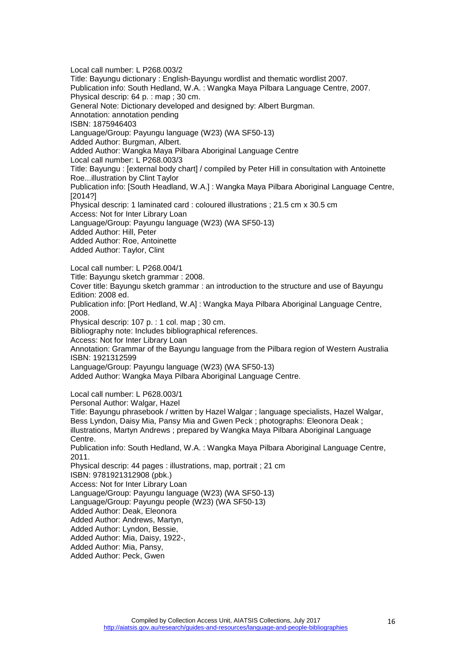Local call number: L P268.003/2 Title: Bayungu dictionary : English-Bayungu wordlist and thematic wordlist 2007. Publication info: South Hedland, W.A. : Wangka Maya Pilbara Language Centre, 2007. Physical descrip: 64 p. : map ; 30 cm. General Note: Dictionary developed and designed by: Albert Burgman. Annotation: annotation pending ISBN: 1875946403 Language/Group: Payungu language (W23) (WA SF50-13) Added Author: Burgman, Albert. Added Author: Wangka Maya Pilbara Aboriginal Language Centre Local call number: L P268.003/3 Title: Bayungu : [external body chart] / compiled by Peter Hill in consultation with Antoinette Roe...illustration by Clint Taylor Publication info: [South Headland, W.A.] : Wangka Maya Pilbara Aboriginal Language Centre, [2014?] Physical descrip: 1 laminated card : coloured illustrations ; 21.5 cm x 30.5 cm Access: Not for Inter Library Loan Language/Group: Payungu language (W23) (WA SF50-13) Added Author: Hill, Peter Added Author: Roe, Antoinette Added Author: Taylor, Clint Local call number: L P268.004/1 Title: Bayungu sketch grammar : 2008. Cover title: Bayungu sketch grammar : an introduction to the structure and use of Bayungu Edition: 2008 ed. Publication info: [Port Hedland, W.A] : Wangka Maya Pilbara Aboriginal Language Centre, 2008. Physical descrip: 107 p. : 1 col. map ; 30 cm. Bibliography note: Includes bibliographical references. Access: Not for Inter Library Loan Annotation: Grammar of the Bayungu language from the Pilbara region of Western Australia ISBN: 1921312599 Language/Group: Payungu language (W23) (WA SF50-13) Added Author: Wangka Maya Pilbara Aboriginal Language Centre. Local call number: L P628.003/1 Personal Author: Walgar, Hazel Title: Bayungu phrasebook / written by Hazel Walgar ; language specialists, Hazel Walgar, Bess Lyndon, Daisy Mia, Pansy Mia and Gwen Peck ; photographs: Eleonora Deak ; illustrations, Martyn Andrews ; prepared by Wangka Maya Pilbara Aboriginal Language Centre. Publication info: South Hedland, W.A. : Wangka Maya Pilbara Aboriginal Language Centre, 2011. Physical descrip: 44 pages : illustrations, map, portrait ; 21 cm ISBN: 9781921312908 (pbk.) Access: Not for Inter Library Loan Language/Group: Payungu language (W23) (WA SF50-13) Language/Group: Payungu people (W23) (WA SF50-13) Added Author: Deak, Eleonora Added Author: Andrews, Martyn, Added Author: Lyndon, Bessie, Added Author: Mia, Daisy, 1922-, Added Author: Mia, Pansy, Added Author: Peck, Gwen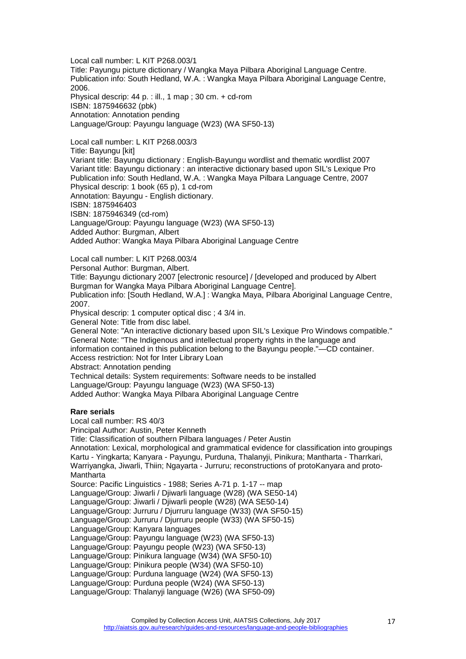Local call number: L KIT P268.003/1 Title: Payungu picture dictionary / Wangka Maya Pilbara Aboriginal Language Centre. Publication info: South Hedland, W.A. : Wangka Maya Pilbara Aboriginal Language Centre, 2006. Physical descrip: 44 p. : ill., 1 map ; 30 cm. + cd-rom ISBN: 1875946632 (pbk)

Annotation: Annotation pending

Language/Group: Payungu language (W23) (WA SF50-13)

Local call number: L KIT P268.003/3 Title: Bayungu [kit] Variant title: Bayungu dictionary : English-Bayungu wordlist and thematic wordlist 2007 Variant title: Bayungu dictionary : an interactive dictionary based upon SIL's Lexique Pro Publication info: South Hedland, W.A. : Wangka Maya Pilbara Language Centre, 2007 Physical descrip: 1 book (65 p), 1 cd-rom Annotation: Bayungu - English dictionary. ISBN: 1875946403 ISBN: 1875946349 (cd-rom) Language/Group: Payungu language (W23) (WA SF50-13) Added Author: Burgman, Albert Added Author: Wangka Maya Pilbara Aboriginal Language Centre

Local call number: L KIT P268.003/4 Personal Author: Burgman, Albert. Title: Bayungu dictionary 2007 [electronic resource] / [developed and produced by Albert Burgman for Wangka Maya Pilbara Aboriginal Language Centre]. Publication info: [South Hedland, W.A.] : Wangka Maya, Pilbara Aboriginal Language Centre, 2007. Physical descrip: 1 computer optical disc ; 4 3/4 in. General Note: Title from disc label. General Note: "An interactive dictionary based upon SIL's Lexique Pro Windows compatible." General Note: "The Indigenous and intellectual property rights in the language and information contained in this publication belong to the Bayungu people."—CD container. Access restriction: Not for Inter Library Loan Abstract: Annotation pending Technical details: System requirements: Software needs to be installed Language/Group: Payungu language (W23) (WA SF50-13) Added Author: Wangka Maya Pilbara Aboriginal Language Centre

## <span id="page-16-0"></span>**Rare serials**

Local call number: RS 40/3 Principal Author: Austin, Peter Kenneth Title: Classification of southern Pilbara languages / Peter Austin Annotation: Lexical, morphological and grammatical evidence for classification into groupings Kartu - Yingkarta; Kanyara - Payungu, Purduna, Thalanyji, Pinikura; Mantharta - Tharrkari, Warriyangka, Jiwarli, Thiin; Ngayarta - Jurruru; reconstructions of protoKanyara and proto-**Mantharta** Source: Pacific Linguistics - 1988; Series A-71 p. 1-17 -- map Language/Group: Jiwarli / Djiwarli language (W28) (WA SE50-14) Language/Group: Jiwarli / Djiwarli people (W28) (WA SE50-14) Language/Group: Jurruru / Djurruru language (W33) (WA SF50-15) Language/Group: Jurruru / Djurruru people (W33) (WA SF50-15) Language/Group: Kanyara languages Language/Group: Payungu language (W23) (WA SF50-13) Language/Group: Payungu people (W23) (WA SF50-13) Language/Group: Pinikura language (W34) (WA SF50-10) Language/Group: Pinikura people (W34) (WA SF50-10) Language/Group: Purduna language (W24) (WA SF50-13) Language/Group: Purduna people (W24) (WA SF50-13) Language/Group: Thalanyji language (W26) (WA SF50-09)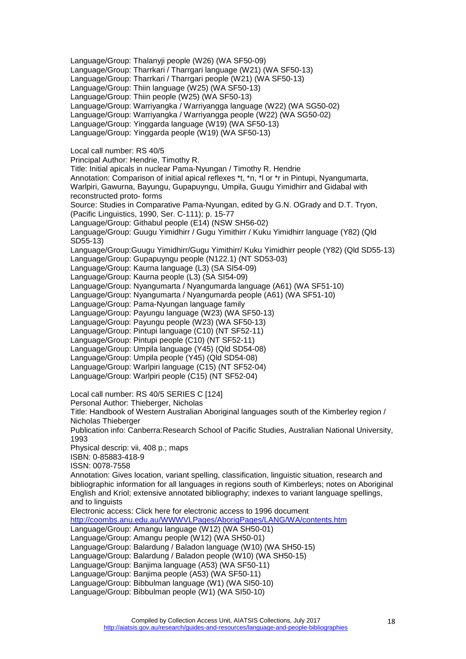Language/Group: Thalanyji people (W26) (WA SF50-09) Language/Group: Tharrkari / Tharrgari language (W21) (WA SF50-13) Language/Group: Tharrkari / Tharrgari people (W21) (WA SF50-13) Language/Group: Thiin language (W25) (WA SF50-13) Language/Group: Thiin people (W25) (WA SF50-13) Language/Group: Warriyangka / Warriyangga language (W22) (WA SG50-02) Language/Group: Warriyangka / Warriyangga people (W22) (WA SG50-02) Language/Group: Yinggarda language (W19) (WA SF50-13) Language/Group: Yinggarda people (W19) (WA SF50-13) Local call number: RS 40/5 Principal Author: Hendrie, Timothy R. Title: Initial apicals in nuclear Pama-Nyungan / Timothy R. Hendrie Annotation: Comparison of initial apical reflexes \*t, \*n, \*l or \*r in Pintupi, Nyangumarta, Warlpiri, Gawurna, Bayungu, Gupapuyngu, Umpila, Guugu Yimidhirr and Gidabal with reconstructed proto- forms Source: Studies in Comparative Pama-Nyungan, edited by G.N. OGrady and D.T. Tryon, (Pacific Linguistics, 1990, Ser. C-111); p. 15-77 Language/Group: Githabul people (E14) (NSW SH56-02) Language/Group: Guugu Yimidhirr / Gugu Yimithirr / Kuku Yimidhirr language (Y82) (Qld SD55-13) Language/Group:Guugu Yimidhirr/Gugu Yimithirr/ Kuku Yimidhirr people (Y82) (Qld SD55-13) Language/Group: Gupapuyngu people (N122.1) (NT SD53-03) Language/Group: Kaurna language (L3) (SA SI54-09) Language/Group: Kaurna people (L3) (SA SI54-09) Language/Group: Nyangumarta / Nyangumarda language (A61) (WA SF51-10) Language/Group: Nyangumarta / Nyangumarda people (A61) (WA SF51-10) Language/Group: Pama-Nyungan language family Language/Group: Payungu language (W23) (WA SF50-13) Language/Group: Payungu people (W23) (WA SF50-13) Language/Group: Pintupi language (C10) (NT SF52-11) Language/Group: Pintupi people (C10) (NT SF52-11) Language/Group: Umpila language (Y45) (Qld SD54-08) Language/Group: Umpila people (Y45) (Qld SD54-08) Language/Group: Warlpiri language (C15) (NT SF52-04) Language/Group: Warlpiri people (C15) (NT SF52-04) Local call number: RS 40/5 SERIES C [124] Personal Author: Thieberger, Nicholas Title: Handbook of Western Australian Aboriginal languages south of the Kimberley region / Nicholas Thieberger Publication info: Canberra:Research School of Pacific Studies, Australian National University, 1993 Physical descrip: vii, 408 p.; maps ISBN: 0-85883-418-9 ISSN: 0078-7558 Annotation: Gives location, variant spelling, classification, linguistic situation, research and bibliographic information for all languages in regions south of Kimberleys; notes on Aboriginal English and Kriol; extensive annotated bibliography; indexes to variant language spellings, and to linguists Electronic access: Click here for electronic access to 1996 document <http://coombs.anu.edu.au/WWWVLPages/AborigPages/LANG/WA/contents.htm> Language/Group: Amangu language (W12) (WA SH50-01) Language/Group: Amangu people (W12) (WA SH50-01) Language/Group: Balardung / Baladon language (W10) (WA SH50-15) Language/Group: Balardung / Baladon people (W10) (WA SH50-15) Language/Group: Banjima language (A53) (WA SF50-11) Language/Group: Banjima people (A53) (WA SF50-11) Language/Group: Bibbulman language (W1) (WA SI50-10) Language/Group: Bibbulman people (W1) (WA SI50-10)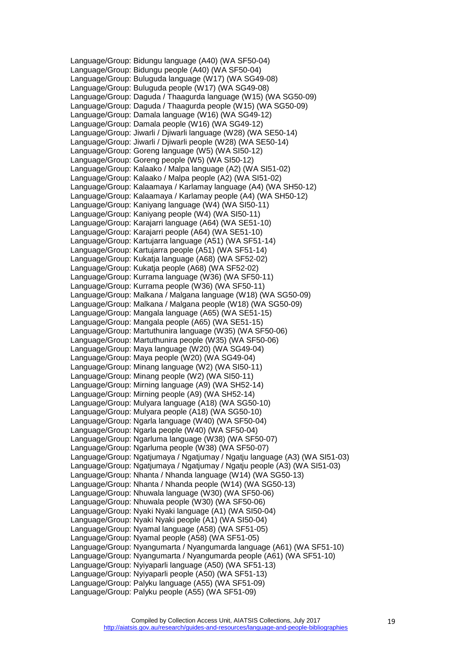Language/Group: Bidungu language (A40) (WA SF50-04) Language/Group: Bidungu people (A40) (WA SF50-04) Language/Group: Buluguda language (W17) (WA SG49-08) Language/Group: Buluguda people (W17) (WA SG49-08) Language/Group: Daguda / Thaagurda language (W15) (WA SG50-09) Language/Group: Daguda / Thaagurda people (W15) (WA SG50-09) Language/Group: Damala language (W16) (WA SG49-12) Language/Group: Damala people (W16) (WA SG49-12) Language/Group: Jiwarli / Djiwarli language (W28) (WA SE50-14) Language/Group: Jiwarli / Djiwarli people (W28) (WA SE50-14) Language/Group: Goreng language (W5) (WA SI50-12) Language/Group: Goreng people (W5) (WA SI50-12) Language/Group: Kalaako / Malpa language (A2) (WA SI51-02) Language/Group: Kalaako / Malpa people (A2) (WA SI51-02) Language/Group: Kalaamaya / Karlamay language (A4) (WA SH50-12) Language/Group: Kalaamaya / Karlamay people (A4) (WA SH50-12) Language/Group: Kaniyang language (W4) (WA SI50-11) Language/Group: Kaniyang people (W4) (WA SI50-11) Language/Group: Karajarri language (A64) (WA SE51-10) Language/Group: Karajarri people (A64) (WA SE51-10) Language/Group: Kartujarra language (A51) (WA SF51-14) Language/Group: Kartujarra people (A51) (WA SF51-14) Language/Group: Kukatja language (A68) (WA SF52-02) Language/Group: Kukatja people (A68) (WA SF52-02) Language/Group: Kurrama language (W36) (WA SF50-11) Language/Group: Kurrama people (W36) (WA SF50-11) Language/Group: Malkana / Malgana language (W18) (WA SG50-09) Language/Group: Malkana / Malgana people (W18) (WA SG50-09) Language/Group: Mangala language (A65) (WA SE51-15) Language/Group: Mangala people (A65) (WA SE51-15) Language/Group: Martuthunira language (W35) (WA SF50-06) Language/Group: Martuthunira people (W35) (WA SF50-06) Language/Group: Maya language (W20) (WA SG49-04) Language/Group: Maya people (W20) (WA SG49-04) Language/Group: Minang language (W2) (WA SI50-11) Language/Group: Minang people (W2) (WA SI50-11) Language/Group: Mirning language (A9) (WA SH52-14) Language/Group: Mirning people (A9) (WA SH52-14) Language/Group: Mulyara language (A18) (WA SG50-10) Language/Group: Mulyara people (A18) (WA SG50-10) Language/Group: Ngarla language (W40) (WA SF50-04) Language/Group: Ngarla people (W40) (WA SF50-04) Language/Group: Ngarluma language (W38) (WA SF50-07) Language/Group: Ngarluma people (W38) (WA SF50-07) Language/Group: Ngatjumaya / Ngatjumay / Ngatju language (A3) (WA SI51-03) Language/Group: Ngatjumaya / Ngatjumay / Ngatju people (A3) (WA SI51-03) Language/Group: Nhanta / Nhanda language (W14) (WA SG50-13) Language/Group: Nhanta / Nhanda people (W14) (WA SG50-13) Language/Group: Nhuwala language (W30) (WA SF50-06) Language/Group: Nhuwala people (W30) (WA SF50-06) Language/Group: Nyaki Nyaki language (A1) (WA SI50-04) Language/Group: Nyaki Nyaki people (A1) (WA SI50-04) Language/Group: Nyamal language (A58) (WA SF51-05) Language/Group: Nyamal people (A58) (WA SF51-05) Language/Group: Nyangumarta / Nyangumarda language (A61) (WA SF51-10) Language/Group: Nyangumarta / Nyangumarda people (A61) (WA SF51-10) Language/Group: Nyiyaparli language (A50) (WA SF51-13) Language/Group: Nyiyaparli people (A50) (WA SF51-13) Language/Group: Palyku language (A55) (WA SF51-09) Language/Group: Palyku people (A55) (WA SF51-09)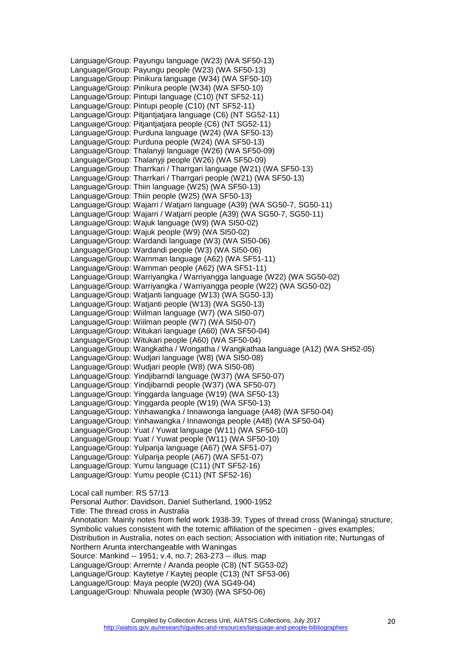Language/Group: Payungu language (W23) (WA SF50-13) Language/Group: Payungu people (W23) (WA SF50-13) Language/Group: Pinikura language (W34) (WA SF50-10) Language/Group: Pinikura people (W34) (WA SF50-10) Language/Group: Pintupi language (C10) (NT SF52-11) Language/Group: Pintupi people (C10) (NT SF52-11) Language/Group: Pitjantjatjara language (C6) (NT SG52-11) Language/Group: Pitjantjatjara people (C6) (NT SG52-11) Language/Group: Purduna language (W24) (WA SF50-13) Language/Group: Purduna people (W24) (WA SF50-13) Language/Group: Thalanyji language (W26) (WA SF50-09) Language/Group: Thalanyji people (W26) (WA SF50-09) Language/Group: Tharrkari / Tharrgari language (W21) (WA SF50-13) Language/Group: Tharrkari / Tharrgari people (W21) (WA SF50-13) Language/Group: Thiin language (W25) (WA SF50-13) Language/Group: Thiin people (W25) (WA SF50-13) Language/Group: Wajarri / Watjarri language (A39) (WA SG50-7, SG50-11) Language/Group: Wajarri / Watjarri people (A39) (WA SG50-7, SG50-11) Language/Group: Wajuk language (W9) (WA SI50-02) Language/Group: Wajuk people (W9) (WA SI50-02) Language/Group: Wardandi language (W3) (WA SI50-06) Language/Group: Wardandi people (W3) (WA SI50-06) Language/Group: Warnman language (A62) (WA SF51-11) Language/Group: Warnman people (A62) (WA SF51-11) Language/Group: Warriyangka / Warriyangga language (W22) (WA SG50-02) Language/Group: Warriyangka / Warriyangga people (W22) (WA SG50-02) Language/Group: Watjanti language (W13) (WA SG50-13) Language/Group: Watjanti people (W13) (WA SG50-13) Language/Group: Wiilman language (W7) (WA SI50-07) Language/Group: Wiilman people (W7) (WA SI50-07) Language/Group: Witukari language (A60) (WA SF50-04) Language/Group: Witukari people (A60) (WA SF50-04) Language/Group: Wangkatha / Wongatha / Wangkathaa language (A12) (WA SH52-05) Language/Group: Wudjari language (W8) (WA SI50-08) Language/Group: Wudjari people (W8) (WA SI50-08) Language/Group: Yindjibarndi language (W37) (WA SF50-07) Language/Group: Yindjibarndi people (W37) (WA SF50-07) Language/Group: Yinggarda language (W19) (WA SF50-13) Language/Group: Yinggarda people (W19) (WA SF50-13) Language/Group: Yinhawangka / Innawonga language (A48) (WA SF50-04) Language/Group: Yinhawangka / Innawonga people (A48) (WA SF50-04) Language/Group: Yuat / Yuwat language (W11) (WA SF50-10) Language/Group: Yuat / Yuwat people (W11) (WA SF50-10) Language/Group: Yulparija language (A67) (WA SF51-07) Language/Group: Yulparija people (A67) (WA SF51-07) Language/Group: Yumu language (C11) (NT SF52-16) Language/Group: Yumu people (C11) (NT SF52-16) Local call number: RS 57/13 Personal Author: Davidson, Daniel Sutherland, 1900-1952 Title: The thread cross in Australia Annotation: Mainly notes from field work 1938-39; Types of thread cross (Waninga) structure; Symbolic values consistent with the totemic affiliation of the specimen - gives examples; Distribution in Australia, notes on each section; Association with initiation rite; Nurtungas of Northern Arunta interchangeable with Waningas Source: Mankind -- 1951; v.4, no.7; 263-273 -- illus. map

- Language/Group: Arrernte / Aranda people (C8) (NT SG53-02)
- Language/Group: Kaytetye / Kaytej people (C13) (NT SF53-06)
- Language/Group: Maya people (W20) (WA SG49-04)
- Language/Group: Nhuwala people (W30) (WA SF50-06)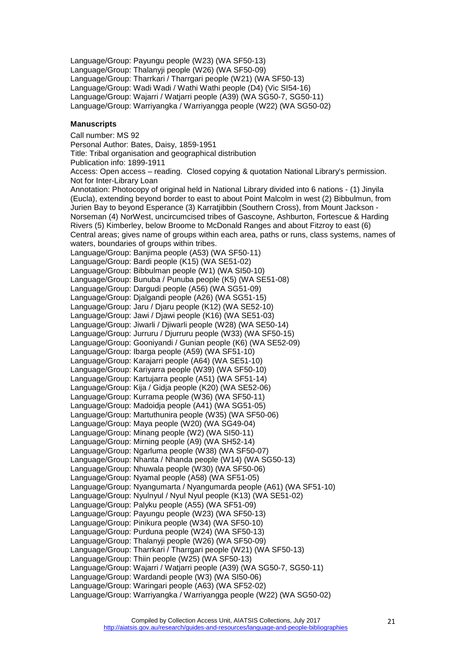Language/Group: Payungu people (W23) (WA SF50-13) Language/Group: Thalanyji people (W26) (WA SF50-09) Language/Group: Tharrkari / Tharrgari people (W21) (WA SF50-13) Language/Group: Wadi Wadi / Wathi Wathi people (D4) (Vic SI54-16) Language/Group: Wajarri / Watjarri people (A39) (WA SG50-7, SG50-11) Language/Group: Warriyangka / Warriyangga people (W22) (WA SG50-02)

# <span id="page-20-0"></span>**Manuscripts**

Call number: MS 92 Personal Author: Bates, Daisy, 1859-1951 Title: Tribal organisation and geographical distribution Publication info: 1899-1911 Access: Open access – reading. Closed copying & quotation National Library's permission. Not for Inter-Library Loan Annotation: Photocopy of original held in National Library divided into 6 nations - (1) Jinyila (Eucla), extending beyond border to east to about Point Malcolm in west (2) Bibbulmun, from Jurien Bay to beyond Esperance (3) Karratjibbin (Southern Cross), from Mount Jackson - Norseman (4) NorWest, uncircumcised tribes of Gascoyne, Ashburton, Fortescue & Harding Rivers (5) Kimberley, below Broome to McDonald Ranges and about Fitzroy to east (6) Central areas; gives name of groups within each area, paths or runs, class systems, names of waters, boundaries of groups within tribes. Language/Group: Banjima people (A53) (WA SF50-11) Language/Group: Bardi people (K15) (WA SE51-02) Language/Group: Bibbulman people (W1) (WA SI50-10) Language/Group: Bunuba / Punuba people (K5) (WA SE51-08) Language/Group: Dargudi people (A56) (WA SG51-09) Language/Group: Djalgandi people (A26) (WA SG51-15) Language/Group: Jaru / Djaru people (K12) (WA SE52-10) Language/Group: Jawi / Djawi people (K16) (WA SE51-03) Language/Group: Jiwarli / Djiwarli people (W28) (WA SE50-14) Language/Group: Jurruru / Djurruru people (W33) (WA SF50-15) Language/Group: Gooniyandi / Gunian people (K6) (WA SE52-09) Language/Group: Ibarga people (A59) (WA SF51-10) Language/Group: Karajarri people (A64) (WA SE51-10) Language/Group: Kariyarra people (W39) (WA SF50-10) Language/Group: Kartujarra people (A51) (WA SF51-14) Language/Group: Kija / Gidja people (K20) (WA SE52-06) Language/Group: Kurrama people (W36) (WA SF50-11) Language/Group: Madoidja people (A41) (WA SG51-05) Language/Group: Martuthunira people (W35) (WA SF50-06) Language/Group: Maya people (W20) (WA SG49-04) Language/Group: Minang people (W2) (WA SI50-11) Language/Group: Mirning people (A9) (WA SH52-14) Language/Group: Ngarluma people (W38) (WA SF50-07) Language/Group: Nhanta / Nhanda people (W14) (WA SG50-13) Language/Group: Nhuwala people (W30) (WA SF50-06) Language/Group: Nyamal people (A58) (WA SF51-05) Language/Group: Nyangumarta / Nyangumarda people (A61) (WA SF51-10) Language/Group: Nyulnyul / Nyul Nyul people (K13) (WA SE51-02) Language/Group: Palyku people (A55) (WA SF51-09) Language/Group: Payungu people (W23) (WA SF50-13) Language/Group: Pinikura people (W34) (WA SF50-10) Language/Group: Purduna people (W24) (WA SF50-13) Language/Group: Thalanyji people (W26) (WA SF50-09) Language/Group: Tharrkari / Tharrgari people (W21) (WA SF50-13) Language/Group: Thiin people (W25) (WA SF50-13) Language/Group: Wajarri / Watjarri people (A39) (WA SG50-7, SG50-11) Language/Group: Wardandi people (W3) (WA SI50-06) Language/Group: Waringari people (A63) (WA SF52-02) Language/Group: Warriyangka / Warriyangga people (W22) (WA SG50-02)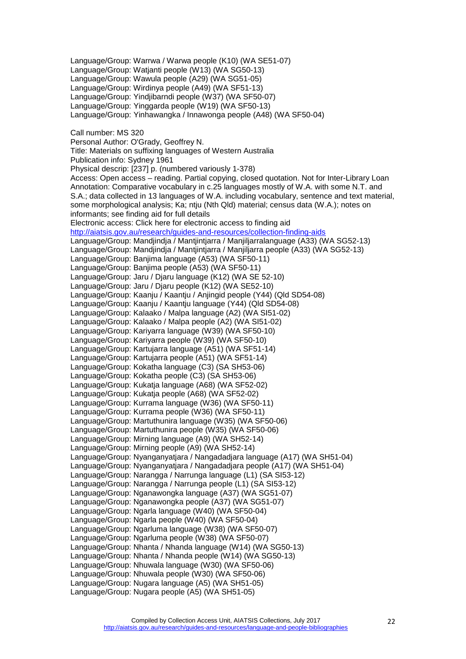Language/Group: Warrwa / Warwa people (K10) (WA SE51-07) Language/Group: Watjanti people (W13) (WA SG50-13) Language/Group: Wawula people (A29) (WA SG51-05) Language/Group: Wirdinya people (A49) (WA SF51-13) Language/Group: Yindjibarndi people (W37) (WA SF50-07) Language/Group: Yinggarda people (W19) (WA SF50-13) Language/Group: Yinhawangka / Innawonga people (A48) (WA SF50-04) Call number: MS 320 Personal Author: O'Grady, Geoffrey N. Title: Materials on suffixing languages of Western Australia Publication info: Sydney 1961 Physical descrip: [237] p. (numbered variously 1-378) Access: Open access – reading. Partial copying, closed quotation. Not for Inter-Library Loan Annotation: Comparative vocabulary in c.25 languages mostly of W.A. with some N.T. and S.A.; data collected in 13 languages of W.A. including vocabulary, sentence and text material, some morphological analysis; Ka; ntju (Nth Qld) material; census data (W.A.); notes on informants; see finding aid for full details Electronic access: Click here for electronic access to finding aid <http://aiatsis.gov.au/research/guides-and-resources/collection-finding-aids> Language/Group: Mandjindja / Mantjintjarra / Manjiljarralanguage (A33) (WA SG52-13) Language/Group: Mandjindja / Mantjintjarra / Manjiljarra people (A33) (WA SG52-13) Language/Group: Banjima language (A53) (WA SF50-11) Language/Group: Banjima people (A53) (WA SF50-11) Language/Group: Jaru / Djaru language (K12) (WA SE 52-10) Language/Group: Jaru / Djaru people (K12) (WA SE52-10) Language/Group: Kaanju / Kaantju / Anjingid people (Y44) (Qld SD54-08) Language/Group: Kaanju / Kaantju language (Y44) (Qld SD54-08) Language/Group: Kalaako / Malpa language (A2) (WA SI51-02) Language/Group: Kalaako / Malpa people (A2) (WA SI51-02) Language/Group: Kariyarra language (W39) (WA SF50-10) Language/Group: Kariyarra people (W39) (WA SF50-10) Language/Group: Kartujarra language (A51) (WA SF51-14) Language/Group: Kartujarra people (A51) (WA SF51-14) Language/Group: Kokatha language (C3) (SA SH53-06) Language/Group: Kokatha people (C3) (SA SH53-06) Language/Group: Kukatja language (A68) (WA SF52-02) Language/Group: Kukatja people (A68) (WA SF52-02) Language/Group: Kurrama language (W36) (WA SF50-11) Language/Group: Kurrama people (W36) (WA SF50-11) Language/Group: Martuthunira language (W35) (WA SF50-06) Language/Group: Martuthunira people (W35) (WA SF50-06) Language/Group: Mirning language (A9) (WA SH52-14) Language/Group: Mirning people (A9) (WA SH52-14) Language/Group: Nyanganyatjara / Nangadadjara language (A17) (WA SH51-04) Language/Group: Nyanganyatjara / Nangadadjara people (A17) (WA SH51-04) Language/Group: Narangga / Narrunga language (L1) (SA SI53-12) Language/Group: Narangga / Narrunga people (L1) (SA SI53-12) Language/Group: Nganawongka language (A37) (WA SG51-07) Language/Group: Nganawongka people (A37) (WA SG51-07) Language/Group: Ngarla language (W40) (WA SF50-04) Language/Group: Ngarla people (W40) (WA SF50-04) Language/Group: Ngarluma language (W38) (WA SF50-07) Language/Group: Ngarluma people (W38) (WA SF50-07) Language/Group: Nhanta / Nhanda language (W14) (WA SG50-13) Language/Group: Nhanta / Nhanda people (W14) (WA SG50-13) Language/Group: Nhuwala language (W30) (WA SF50-06) Language/Group: Nhuwala people (W30) (WA SF50-06) Language/Group: Nugara language (A5) (WA SH51-05) Language/Group: Nugara people (A5) (WA SH51-05)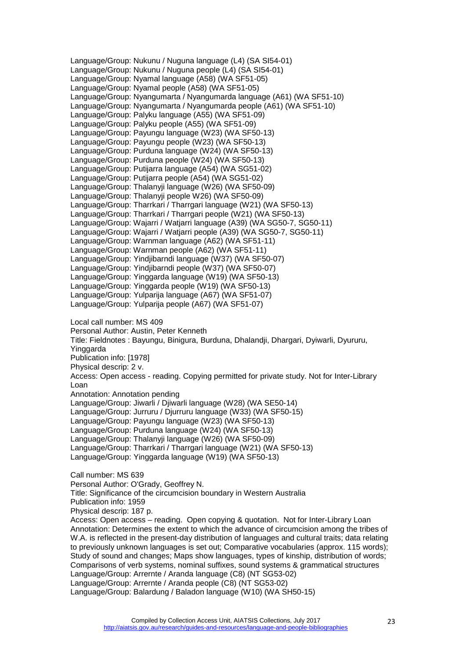Language/Group: Nukunu / Nuguna language (L4) (SA SI54-01) Language/Group: Nukunu / Nuguna people (L4) (SA SI54-01) Language/Group: Nyamal language (A58) (WA SF51-05) Language/Group: Nyamal people (A58) (WA SF51-05) Language/Group: Nyangumarta / Nyangumarda language (A61) (WA SF51-10) Language/Group: Nyangumarta / Nyangumarda people (A61) (WA SF51-10) Language/Group: Palyku language (A55) (WA SF51-09) Language/Group: Palyku people (A55) (WA SF51-09) Language/Group: Payungu language (W23) (WA SF50-13) Language/Group: Payungu people (W23) (WA SF50-13) Language/Group: Purduna language (W24) (WA SF50-13) Language/Group: Purduna people (W24) (WA SF50-13) Language/Group: Putijarra language (A54) (WA SG51-02) Language/Group: Putijarra people (A54) (WA SG51-02) Language/Group: Thalanyji language (W26) (WA SF50-09) Language/Group: Thalanyji people W26) (WA SF50-09) Language/Group: Tharrkari / Tharrgari language (W21) (WA SF50-13) Language/Group: Tharrkari / Tharrgari people (W21) (WA SF50-13) Language/Group: Wajarri / Watjarri language (A39) (WA SG50-7, SG50-11) Language/Group: Wajarri / Watjarri people (A39) (WA SG50-7, SG50-11) Language/Group: Warnman language (A62) (WA SF51-11) Language/Group: Warnman people (A62) (WA SF51-11) Language/Group: Yindjibarndi language (W37) (WA SF50-07) Language/Group: Yindjibarndi people (W37) (WA SF50-07) Language/Group: Yinggarda language (W19) (WA SF50-13) Language/Group: Yinggarda people (W19) (WA SF50-13) Language/Group: Yulparija language (A67) (WA SF51-07) Language/Group: Yulparija people (A67) (WA SF51-07) Local call number: MS 409 Personal Author: Austin, Peter Kenneth Title: Fieldnotes : Bayungu, Binigura, Burduna, Dhalandji, Dhargari, Dyiwarli, Dyururu, Yinggarda Publication info: [1978] Physical descrip: 2 v. Access: Open access - reading. Copying permitted for private study. Not for Inter-Library Loan Annotation: Annotation pending Language/Group: Jiwarli / Djiwarli language (W28) (WA SE50-14) Language/Group: Jurruru / Djurruru language (W33) (WA SF50-15) Language/Group: Payungu language (W23) (WA SF50-13) Language/Group: Purduna language (W24) (WA SF50-13) Language/Group: Thalanyji language (W26) (WA SF50-09) Language/Group: Tharrkari / Tharrgari language (W21) (WA SF50-13) Language/Group: Yinggarda language (W19) (WA SF50-13) Call number: MS 639 Personal Author: O'Grady, Geoffrey N. Title: Significance of the circumcision boundary in Western Australia Publication info: 1959 Physical descrip: 187 p. Access: Open access – reading. Open copying & quotation. Not for Inter-Library Loan Annotation: Determines the extent to which the advance of circumcision among the tribes of W.A. is reflected in the present-day distribution of languages and cultural traits; data relating to previously unknown languages is set out; Comparative vocabularies (approx. 115 words); Study of sound and changes; Maps show languages, types of kinship, distribution of words; Comparisons of verb systems, nominal suffixes, sound systems & grammatical structures Language/Group: Arrernte / Aranda language (C8) (NT SG53-02) Language/Group: Arrernte / Aranda people (C8) (NT SG53-02)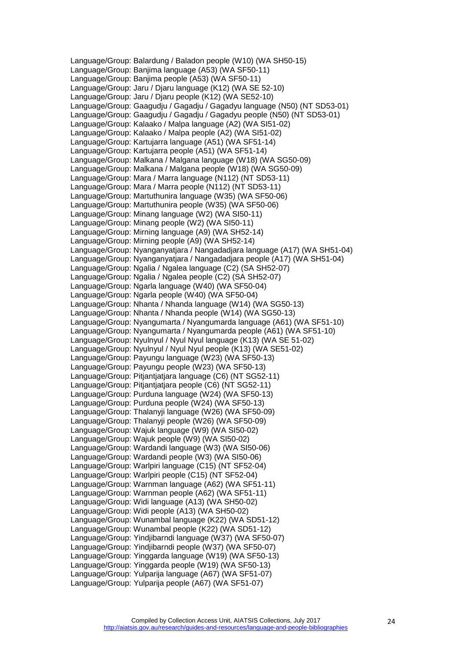Language/Group: Balardung / Baladon people (W10) (WA SH50-15) Language/Group: Banjima language (A53) (WA SF50-11) Language/Group: Banjima people (A53) (WA SF50-11) Language/Group: Jaru / Djaru language (K12) (WA SE 52-10) Language/Group: Jaru / Djaru people (K12) (WA SE52-10) Language/Group: Gaagudju / Gagadju / Gagadyu language (N50) (NT SD53-01) Language/Group: Gaagudju / Gagadju / Gagadyu people (N50) (NT SD53-01) Language/Group: Kalaako / Malpa language (A2) (WA SI51-02) Language/Group: Kalaako / Malpa people (A2) (WA SI51-02) Language/Group: Kartujarra language (A51) (WA SF51-14) Language/Group: Kartujarra people (A51) (WA SF51-14) Language/Group: Malkana / Malgana language (W18) (WA SG50-09) Language/Group: Malkana / Malgana people (W18) (WA SG50-09) Language/Group: Mara / Marra language (N112) (NT SD53-11) Language/Group: Mara / Marra people (N112) (NT SD53-11) Language/Group: Martuthunira language (W35) (WA SF50-06) Language/Group: Martuthunira people (W35) (WA SF50-06) Language/Group: Minang language (W2) (WA SI50-11) Language/Group: Minang people (W2) (WA SI50-11) Language/Group: Mirning language (A9) (WA SH52-14) Language/Group: Mirning people (A9) (WA SH52-14) Language/Group: Nyanganyatjara / Nangadadjara language (A17) (WA SH51-04) Language/Group: Nyanganyatjara / Nangadadjara people (A17) (WA SH51-04) Language/Group: Ngalia / Ngalea language (C2) (SA SH52-07) Language/Group: Ngalia / Ngalea people (C2) (SA SH52-07) Language/Group: Ngarla language (W40) (WA SF50-04) Language/Group: Ngarla people (W40) (WA SF50-04) Language/Group: Nhanta / Nhanda language (W14) (WA SG50-13) Language/Group: Nhanta / Nhanda people (W14) (WA SG50-13) Language/Group: Nyangumarta / Nyangumarda language (A61) (WA SF51-10) Language/Group: Nyangumarta / Nyangumarda people (A61) (WA SF51-10) Language/Group: Nyulnyul / Nyul Nyul language (K13) (WA SE 51-02) Language/Group: Nyulnyul / Nyul Nyul people (K13) (WA SE51-02) Language/Group: Payungu language (W23) (WA SF50-13) Language/Group: Payungu people (W23) (WA SF50-13) Language/Group: Pitiantiatiara language (C6) (NT SG52-11) Language/Group: Pitjantjatjara people (C6) (NT SG52-11) Language/Group: Purduna language (W24) (WA SF50-13) Language/Group: Purduna people (W24) (WA SF50-13) Language/Group: Thalanyji language (W26) (WA SF50-09) Language/Group: Thalanyji people (W26) (WA SF50-09) Language/Group: Wajuk language (W9) (WA SI50-02) Language/Group: Wajuk people (W9) (WA SI50-02) Language/Group: Wardandi language (W3) (WA SI50-06) Language/Group: Wardandi people (W3) (WA SI50-06) Language/Group: Warlpiri language (C15) (NT SF52-04) Language/Group: Warlpiri people (C15) (NT SF52-04) Language/Group: Warnman language (A62) (WA SF51-11) Language/Group: Warnman people (A62) (WA SF51-11) Language/Group: Widi language (A13) (WA SH50-02) Language/Group: Widi people (A13) (WA SH50-02) Language/Group: Wunambal language (K22) (WA SD51-12) Language/Group: Wunambal people (K22) (WA SD51-12) Language/Group: Yindjibarndi language (W37) (WA SF50-07) Language/Group: Yindjibarndi people (W37) (WA SF50-07) Language/Group: Yinggarda language (W19) (WA SF50-13) Language/Group: Yinggarda people (W19) (WA SF50-13) Language/Group: Yulparija language (A67) (WA SF51-07) Language/Group: Yulparija people (A67) (WA SF51-07)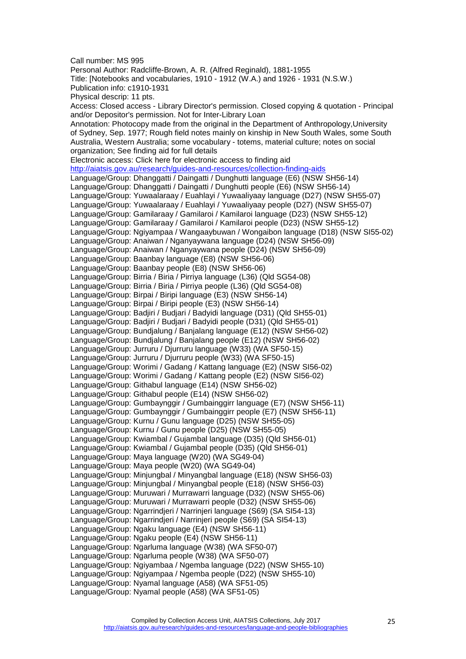Call number: MS 995 Personal Author: Radcliffe-Brown, A. R. (Alfred Reginald), 1881-1955 Title: [Notebooks and vocabularies, 1910 - 1912 (W.A.) and 1926 - 1931 (N.S.W.) Publication info: c1910-1931 Physical descrip: 11 pts. Access: Closed access - Library Director's permission. Closed copying & quotation - Principal and/or Depositor's permission. Not for Inter-Library Loan Annotation: Photocopy made from the original in the Department of Anthropology,University of Sydney, Sep. 1977; Rough field notes mainly on kinship in New South Wales, some South Australia, Western Australia; some vocabulary - totems, material culture; notes on social organization; See finding aid for full details Electronic access: Click here for electronic access to finding aid <http://aiatsis.gov.au/research/guides-and-resources/collection-finding-aids> Language/Group: Dhanggatti / Daingatti / Dunghutti language (E6) (NSW SH56-14) Language/Group: Dhanggatti / Daingatti / Dunghutti people (E6) (NSW SH56-14) Language/Group: Yuwaalaraay / Euahlayi / Yuwaaliyaay language (D27) (NSW SH55-07) Language/Group: Yuwaalaraay / Euahlayi / Yuwaaliyaay people (D27) (NSW SH55-07) Language/Group: Gamilaraay / Gamilaroi / Kamilaroi language (D23) (NSW SH55-12) Language/Group: Gamilaraay / Gamilaroi / Kamilaroi people (D23) (NSW SH55-12) Language/Group: Ngiyampaa / Wangaaybuwan / Wongaibon language (D18) (NSW SI55-02) Language/Group: Anaiwan / Nganyaywana language (D24) (NSW SH56-09) Language/Group: Anaiwan / Nganyaywana people (D24) (NSW SH56-09) Language/Group: Baanbay language (E8) (NSW SH56-06) Language/Group: Baanbay people (E8) (NSW SH56-06) Language/Group: Birria / Biria / Pirriya language (L36) (Qld SG54-08) Language/Group: Birria / Biria / Pirriya people (L36) (Qld SG54-08) Language/Group: Birpai / Biripi language (E3) (NSW SH56-14) Language/Group: Birpai / Biripi people (E3) (NSW SH56-14) Language/Group: Badjiri / Budjari / Badyidi language (D31) (Qld SH55-01) Language/Group: Badjiri / Budjari / Badyidi people (D31) (Qld SH55-01) Language/Group: Bundjalung / Banjalang language (E12) (NSW SH56-02) Language/Group: Bundjalung / Banjalang people (E12) (NSW SH56-02) Language/Group: Jurruru / Djurruru language (W33) (WA SF50-15) Language/Group: Jurruru / Djurruru people (W33) (WA SF50-15) Language/Group: Worimi / Gadang / Kattang language (E2) (NSW SI56-02) Language/Group: Worimi / Gadang / Kattang people (E2) (NSW SI56-02) Language/Group: Githabul language (E14) (NSW SH56-02) Language/Group: Githabul people (E14) (NSW SH56-02) Language/Group: Gumbaynggir / Gumbainggirr language (E7) (NSW SH56-11) Language/Group: Gumbaynggir / Gumbainggirr people (E7) (NSW SH56-11) Language/Group: Kurnu / Gunu language (D25) (NSW SH55-05) Language/Group: Kurnu / Gunu people (D25) (NSW SH55-05) Language/Group: Kwiambal / Gujambal language (D35) (Qld SH56-01) Language/Group: Kwiambal / Gujambal people (D35) (Qld SH56-01) Language/Group: Maya language (W20) (WA SG49-04) Language/Group: Maya people (W20) (WA SG49-04) Language/Group: Minjungbal / Minyangbal language (E18) (NSW SH56-03) Language/Group: Minjungbal / Minyangbal people (E18) (NSW SH56-03) Language/Group: Muruwari / Murrawarri language (D32) (NSW SH55-06) Language/Group: Muruwari / Murrawarri people (D32) (NSW SH55-06) Language/Group: Ngarrindjeri / Narrinjeri language (S69) (SA SI54-13) Language/Group: Ngarrindjeri / Narrinjeri people (S69) (SA SI54-13) Language/Group: Ngaku language (E4) (NSW SH56-11) Language/Group: Ngaku people (E4) (NSW SH56-11) Language/Group: Ngarluma language (W38) (WA SF50-07) Language/Group: Ngarluma people (W38) (WA SF50-07) Language/Group: Ngiyambaa / Ngemba language (D22) (NSW SH55-10) Language/Group: Ngiyampaa / Ngemba people (D22) (NSW SH55-10) Language/Group: Nyamal language (A58) (WA SF51-05) Language/Group: Nyamal people (A58) (WA SF51-05)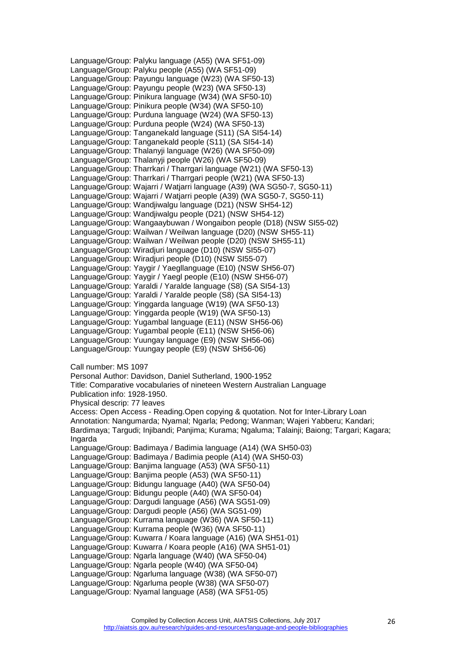Language/Group: Palyku language (A55) (WA SF51-09) Language/Group: Palyku people (A55) (WA SF51-09) Language/Group: Payungu language (W23) (WA SF50-13) Language/Group: Payungu people (W23) (WA SF50-13) Language/Group: Pinikura language (W34) (WA SF50-10) Language/Group: Pinikura people (W34) (WA SF50-10) Language/Group: Purduna language (W24) (WA SF50-13) Language/Group: Purduna people (W24) (WA SF50-13) Language/Group: Tanganekald language (S11) (SA SI54-14) Language/Group: Tanganekald people (S11) (SA SI54-14) Language/Group: Thalanyji language (W26) (WA SF50-09) Language/Group: Thalanyji people (W26) (WA SF50-09) Language/Group: Tharrkari / Tharrgari language (W21) (WA SF50-13) Language/Group: Tharrkari / Tharrgari people (W21) (WA SF50-13) Language/Group: Wajarri / Watjarri language (A39) (WA SG50-7, SG50-11) Language/Group: Wajarri / Watjarri people (A39) (WA SG50-7, SG50-11) Language/Group: Wandjiwalgu language (D21) (NSW SH54-12) Language/Group: Wandjiwalgu people (D21) (NSW SH54-12) Language/Group: Wangaaybuwan / Wongaibon people (D18) (NSW SI55-02) Language/Group: Wailwan / Weilwan language (D20) (NSW SH55-11) Language/Group: Wailwan / Weilwan people (D20) (NSW SH55-11) Language/Group: Wiradjuri language (D10) (NSW SI55-07) Language/Group: Wiradjuri people (D10) (NSW SI55-07) Language/Group: Yaygir / Yaegllanguage (E10) (NSW SH56-07) Language/Group: Yaygir / Yaegl people (E10) (NSW SH56-07) Language/Group: Yaraldi / Yaralde language (S8) (SA SI54-13) Language/Group: Yaraldi / Yaralde people (S8) (SA SI54-13) Language/Group: Yinggarda language (W19) (WA SF50-13) Language/Group: Yinggarda people (W19) (WA SF50-13) Language/Group: Yugambal language (E11) (NSW SH56-06) Language/Group: Yugambal people (E11) (NSW SH56-06) Language/Group: Yuungay language (E9) (NSW SH56-06) Language/Group: Yuungay people (E9) (NSW SH56-06) Call number: MS 1097 Personal Author: Davidson, Daniel Sutherland, 1900-1952 Title: Comparative vocabularies of nineteen Western Australian Language Publication info: 1928-1950. Physical descrip: 77 leaves Access: Open Access - Reading.Open copying & quotation. Not for Inter-Library Loan Annotation: Nangumarda; Nyamal; Ngarla; Pedong; Wanman; Wajeri Yabberu; Kandari; Bardimaya; Targudi; Injibandi; Panjima; Kurama; Ngaluma; Talainji; Baiong; Targari; Kagara; Ingarda Language/Group: Badimaya / Badimia language (A14) (WA SH50-03) Language/Group: Badimaya / Badimia people (A14) (WA SH50-03) Language/Group: Banjima language (A53) (WA SF50-11) Language/Group: Banjima people (A53) (WA SF50-11) Language/Group: Bidungu language (A40) (WA SF50-04) Language/Group: Bidungu people (A40) (WA SF50-04) Language/Group: Dargudi language (A56) (WA SG51-09) Language/Group: Dargudi people (A56) (WA SG51-09) Language/Group: Kurrama language (W36) (WA SF50-11) Language/Group: Kurrama people (W36) (WA SF50-11) Language/Group: Kuwarra / Koara language (A16) (WA SH51-01) Language/Group: Kuwarra / Koara people (A16) (WA SH51-01) Language/Group: Ngarla language (W40) (WA SF50-04) Language/Group: Ngarla people (W40) (WA SF50-04) Language/Group: Ngarluma language (W38) (WA SF50-07) Language/Group: Ngarluma people (W38) (WA SF50-07) Language/Group: Nyamal language (A58) (WA SF51-05)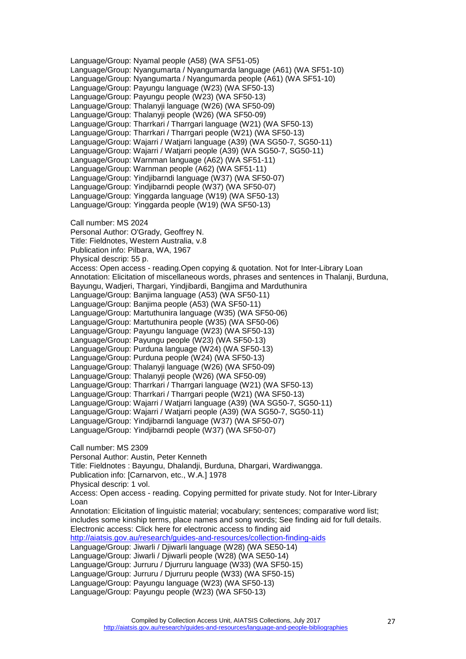Language/Group: Nyamal people (A58) (WA SF51-05) Language/Group: Nyangumarta / Nyangumarda language (A61) (WA SF51-10) Language/Group: Nyangumarta / Nyangumarda people (A61) (WA SF51-10) Language/Group: Payungu language (W23) (WA SF50-13) Language/Group: Payungu people (W23) (WA SF50-13) Language/Group: Thalanyji language (W26) (WA SF50-09) Language/Group: Thalanyji people (W26) (WA SF50-09) Language/Group: Tharrkari / Tharrgari language (W21) (WA SF50-13) Language/Group: Tharrkari / Tharrgari people (W21) (WA SF50-13) Language/Group: Wajarri / Watjarri language (A39) (WA SG50-7, SG50-11) Language/Group: Wajarri / Watjarri people (A39) (WA SG50-7, SG50-11) Language/Group: Warnman language (A62) (WA SF51-11) Language/Group: Warnman people (A62) (WA SF51-11) Language/Group: Yindjibarndi language (W37) (WA SF50-07) Language/Group: Yindjibarndi people (W37) (WA SF50-07) Language/Group: Yinggarda language (W19) (WA SF50-13) Language/Group: Yinggarda people (W19) (WA SF50-13) Call number: MS 2024 Personal Author: O'Grady, Geoffrey N. Title: Fieldnotes, Western Australia, v.8 Publication info: Pilbara, WA, 1967 Physical descrip: 55 p. Access: Open access - reading.Open copying & quotation. Not for Inter-Library Loan Annotation: Elicitation of miscellaneous words, phrases and sentences in Thalanji, Burduna, Bayungu, Wadjeri, Thargari, Yindjibardi, Bangjima and Marduthunira Language/Group: Banjima language (A53) (WA SF50-11) Language/Group: Banjima people (A53) (WA SF50-11) Language/Group: Martuthunira language (W35) (WA SF50-06) Language/Group: Martuthunira people (W35) (WA SF50-06) Language/Group: Payungu language (W23) (WA SF50-13) Language/Group: Payungu people (W23) (WA SF50-13) Language/Group: Purduna language (W24) (WA SF50-13) Language/Group: Purduna people (W24) (WA SF50-13) Language/Group: Thalanyji language (W26) (WA SF50-09) Language/Group: Thalanyji people (W26) (WA SF50-09) Language/Group: Tharrkari / Tharrgari language (W21) (WA SF50-13) Language/Group: Tharrkari / Tharrgari people (W21) (WA SF50-13) Language/Group: Wajarri / Watjarri language (A39) (WA SG50-7, SG50-11) Language/Group: Wajarri / Watjarri people (A39) (WA SG50-7, SG50-11) Language/Group: Yindjibarndi language (W37) (WA SF50-07) Language/Group: Yindjibarndi people (W37) (WA SF50-07) Call number: MS 2309 Personal Author: Austin, Peter Kenneth Title: Fieldnotes : Bayungu, Dhalandji, Burduna, Dhargari, Wardiwangga. Publication info: [Carnarvon, etc., W.A.] 1978 Physical descrip: 1 vol. Access: Open access - reading. Copying permitted for private study. Not for Inter-Library Loan Annotation: Elicitation of linguistic material; vocabulary; sentences; comparative word list; includes some kinship terms, place names and song words; See finding aid for full details. Electronic access: Click here for electronic access to finding aid <http://aiatsis.gov.au/research/guides-and-resources/collection-finding-aids> Language/Group: Jiwarli / Djiwarli language (W28) (WA SE50-14) Language/Group: Jiwarli / Djiwarli people (W28) (WA SE50-14) Language/Group: Jurruru / Djurruru language (W33) (WA SF50-15) Language/Group: Jurruru / Djurruru people (W33) (WA SF50-15) Language/Group: Payungu language (W23) (WA SF50-13) Language/Group: Payungu people (W23) (WA SF50-13)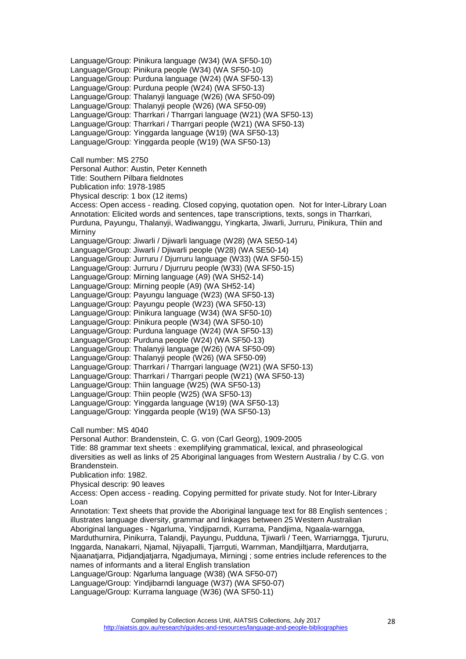Language/Group: Pinikura language (W34) (WA SF50-10) Language/Group: Pinikura people (W34) (WA SF50-10) Language/Group: Purduna language (W24) (WA SF50-13) Language/Group: Purduna people (W24) (WA SF50-13) Language/Group: Thalanyji language (W26) (WA SF50-09) Language/Group: Thalanyji people (W26) (WA SF50-09) Language/Group: Tharrkari / Tharrgari language (W21) (WA SF50-13) Language/Group: Tharrkari / Tharrgari people (W21) (WA SF50-13) Language/Group: Yinggarda language (W19) (WA SF50-13) Language/Group: Yinggarda people (W19) (WA SF50-13) Call number: MS 2750 Personal Author: Austin, Peter Kenneth Title: Southern Pilbara fieldnotes Publication info: 1978-1985 Physical descrip: 1 box (12 items) Access: Open access - reading. Closed copying, quotation open. Not for Inter-Library Loan Annotation: Elicited words and sentences, tape transcriptions, texts, songs in Tharrkari, Purduna, Payungu, Thalanyji, Wadiwanggu, Yingkarta, Jiwarli, Jurruru, Pinikura, Thiin and Mirniny Language/Group: Jiwarli / Djiwarli language (W28) (WA SE50-14) Language/Group: Jiwarli / Djiwarli people (W28) (WA SE50-14) Language/Group: Jurruru / Djurruru language (W33) (WA SF50-15) Language/Group: Jurruru / Djurruru people (W33) (WA SF50-15) Language/Group: Mirning language (A9) (WA SH52-14) Language/Group: Mirning people (A9) (WA SH52-14) Language/Group: Payungu language (W23) (WA SF50-13) Language/Group: Payungu people (W23) (WA SF50-13) Language/Group: Pinikura language (W34) (WA SF50-10) Language/Group: Pinikura people (W34) (WA SF50-10) Language/Group: Purduna language (W24) (WA SF50-13) Language/Group: Purduna people (W24) (WA SF50-13) Language/Group: Thalanyji language (W26) (WA SF50-09) Language/Group: Thalanyji people (W26) (WA SF50-09) Language/Group: Tharrkari / Tharrgari language (W21) (WA SF50-13) Language/Group: Tharrkari / Tharrgari people (W21) (WA SF50-13) Language/Group: Thiin language (W25) (WA SF50-13) Language/Group: Thiin people (W25) (WA SF50-13) Language/Group: Yinggarda language (W19) (WA SF50-13) Language/Group: Yinggarda people (W19) (WA SF50-13) Call number: MS 4040 Personal Author: Brandenstein, C. G. von (Carl Georg), 1909-2005 Title: 88 grammar text sheets : exemplifying grammatical, lexical, and phraseological diversities as well as links of 25 Aboriginal languages from Western Australia / by C.G. von Brandenstein. Publication info: 1982. Physical descrip: 90 leaves Access: Open access - reading. Copying permitted for private study. Not for Inter-Library Loan Annotation: Text sheets that provide the Aboriginal language text for 88 English sentences ; illustrates language diversity, grammar and linkages between 25 Western Australian Aboriginal languages - Ngarluma, Yindjiparndi, Kurrama, Pandjima, Ngaala-warngga, Marduthurnira, Pinikurra, Talandji, Payungu, Pudduna, Tjiwarli / Teen, Warriarngga, Tjururu, Inggarda, Nanakarri, Njamal, Njiyapalli, Tjarrguti, Warnman, Mandjiltjarra, Mardutjarra, Njaanatjarra, Pidjandjatjarra, Ngadjumaya, Mirningj ; some entries include references to the names of informants and a literal English translation Language/Group: Ngarluma language (W38) (WA SF50-07) Language/Group: Yindjibarndi language (W37) (WA SF50-07) Language/Group: Kurrama language (W36) (WA SF50-11)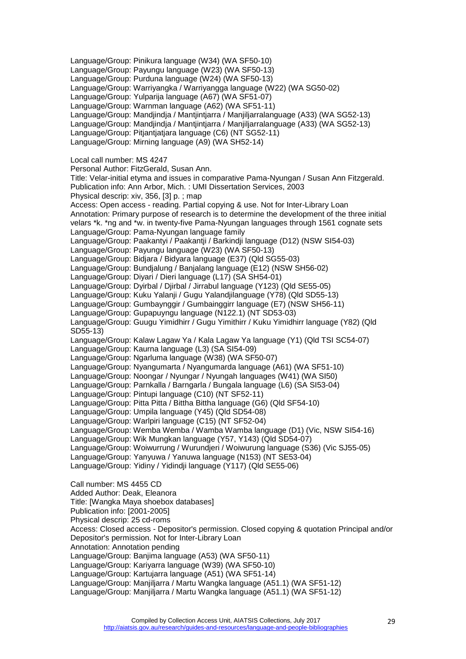Language/Group: Pinikura language (W34) (WA SF50-10) Language/Group: Payungu language (W23) (WA SF50-13) Language/Group: Purduna language (W24) (WA SF50-13) Language/Group: Warriyangka / Warriyangga language (W22) (WA SG50-02) Language/Group: Yulparija language (A67) (WA SF51-07) Language/Group: Warnman language (A62) (WA SF51-11) Language/Group: Mandjindja / Mantjintjarra / Manjiljarralanguage (A33) (WA SG52-13) Language/Group: Mandjindja / Mantjintjarra / Manjiljarralanguage (A33) (WA SG52-13) Language/Group: Pitjantjatjara language (C6) (NT SG52-11) Language/Group: Mirning language (A9) (WA SH52-14) Local call number: MS 4247 Personal Author: FitzGerald, Susan Ann. Title: Velar-initial etyma and issues in comparative Pama-Nyungan / Susan Ann Fitzgerald. Publication info: Ann Arbor, Mich. : UMI Dissertation Services, 2003 Physical descrip: xiv, 356, [3] p. ; map Access: Open access - reading. Partial copying & use. Not for Inter-Library Loan Annotation: Primary purpose of research is to determine the development of the three initial velars \*k. \*ng and \*w. in twenty-five Pama-Nyungan languages through 1561 cognate sets Language/Group: Pama-Nyungan language family Language/Group: Paakantyi / Paakantji / Barkindji language (D12) (NSW SI54-03) Language/Group: Payungu language (W23) (WA SF50-13) Language/Group: Bidjara / Bidyara language (E37) (Qld SG55-03) Language/Group: Bundjalung / Banjalang language (E12) (NSW SH56-02) Language/Group: Diyari / Dieri language (L17) (SA SH54-01) Language/Group: Dyirbal / Djirbal / Jirrabul language (Y123) (Qld SE55-05) Language/Group: Kuku Yalanji / Gugu Yalandjilanguage (Y78) (Qld SD55-13) Language/Group: Gumbaynggir / Gumbainggirr language (E7) (NSW SH56-11) Language/Group: Gupapuyngu language (N122.1) (NT SD53-03) Language/Group: Guugu Yimidhirr / Gugu Yimithirr / Kuku Yimidhirr language (Y82) (Qld SD55-13) Language/Group: Kalaw Lagaw Ya / Kala Lagaw Ya language (Y1) (Qld TSI SC54-07) Language/Group: Kaurna language (L3) (SA SI54-09) Language/Group: Ngarluma language (W38) (WA SF50-07) Language/Group: Nyangumarta / Nyangumarda language (A61) (WA SF51-10) Language/Group: Noongar / Nyungar / Nyungah languages (W41) (WA SI50) Language/Group: Parnkalla / Barngarla / Bungala language (L6) (SA SI53-04) Language/Group: Pintupi language (C10) (NT SF52-11) Language/Group: Pitta Pitta / Bittha Bittha language (G6) (Qld SF54-10) Language/Group: Umpila language (Y45) (Qld SD54-08) Language/Group: Warlpiri language (C15) (NT SF52-04) Language/Group: Wemba Wemba / Wamba Wamba language (D1) (Vic, NSW SI54-16) Language/Group: Wik Mungkan language (Y57, Y143) (Qld SD54-07) Language/Group: Woiwurrung / Wurundjeri / Woiwurung language (S36) (Vic SJ55-05) Language/Group: Yanyuwa / Yanuwa language (N153) (NT SE53-04) Language/Group: Yidiny / Yidindji language (Y117) (Qld SE55-06) Call number: MS 4455 CD Added Author: Deak, Eleanora Title: [Wangka Maya shoebox databases] Publication info: [2001-2005] Physical descrip: 25 cd-roms Access: Closed access - Depositor's permission. Closed copying & quotation Principal and/or Depositor's permission. Not for Inter-Library Loan Annotation: Annotation pending Language/Group: Banjima language (A53) (WA SF50-11) Language/Group: Kariyarra language (W39) (WA SF50-10) Language/Group: Kartujarra language (A51) (WA SF51-14) Language/Group: Manjiljarra / Martu Wangka language (A51.1) (WA SF51-12) Language/Group: Manjiljarra / Martu Wangka language (A51.1) (WA SF51-12)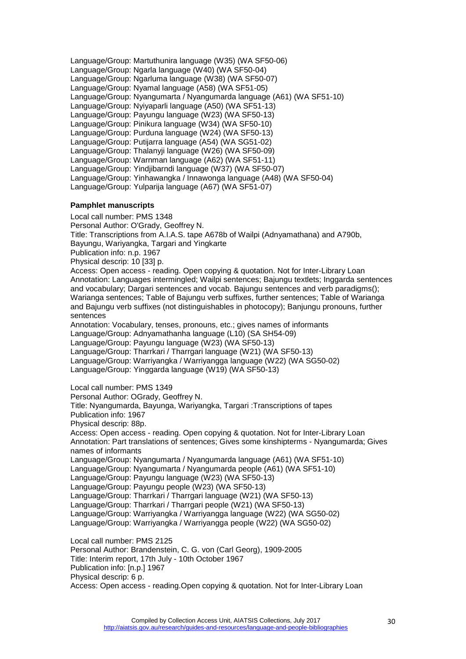Language/Group: Martuthunira language (W35) (WA SF50-06) Language/Group: Ngarla language (W40) (WA SF50-04) Language/Group: Ngarluma language (W38) (WA SF50-07) Language/Group: Nyamal language (A58) (WA SF51-05) Language/Group: Nyangumarta / Nyangumarda language (A61) (WA SF51-10) Language/Group: Nyiyaparli language (A50) (WA SF51-13) Language/Group: Payungu language (W23) (WA SF50-13) Language/Group: Pinikura language (W34) (WA SF50-10) Language/Group: Purduna language (W24) (WA SF50-13) Language/Group: Putijarra language (A54) (WA SG51-02) Language/Group: Thalanyji language (W26) (WA SF50-09) Language/Group: Warnman language (A62) (WA SF51-11) Language/Group: Yindjibarndi language (W37) (WA SF50-07) Language/Group: Yinhawangka / Innawonga language (A48) (WA SF50-04) Language/Group: Yulparija language (A67) (WA SF51-07)

# <span id="page-29-0"></span>**Pamphlet manuscripts**

Local call number: PMS 1348

Personal Author: O'Grady, Geoffrey N.

Title: Transcriptions from A.I.A.S. tape A678b of Wailpi (Adnyamathana) and A790b, Bayungu, Wariyangka, Targari and Yingkarte

Publication info: n.p. 1967

Physical descrip: 10 [33] p.

Access: Open access - reading. Open copying & quotation. Not for Inter-Library Loan Annotation: Languages intermingled; Wailpi sentences; Bajungu textlets; Inggarda sentences and vocabulary; Dargari sentences and vocab. Bajungu sentences and verb paradigms(); Warianga sentences; Table of Bajungu verb suffixes, further sentences; Table of Warianga and Bajungu verb suffixes (not distinguishables in photocopy); Banjungu pronouns, further sentences

Annotation: Vocabulary, tenses, pronouns, etc.; gives names of informants Language/Group: Adnyamathanha language (L10) (SA SH54-09) Language/Group: Payungu language (W23) (WA SF50-13) Language/Group: Tharrkari / Tharrgari language (W21) (WA SF50-13) Language/Group: Warriyangka / Warriyangga language (W22) (WA SG50-02) Language/Group: Yinggarda language (W19) (WA SF50-13)

Local call number: PMS 1349

Personal Author: OGrady, Geoffrey N.

Title: Nyangumarda, Bayunga, Wariyangka, Targari :Transcriptions of tapes

Publication info: 1967

Physical descrip: 88p.

Access: Open access - reading. Open copying & quotation. Not for Inter-Library Loan Annotation: Part translations of sentences; Gives some kinshipterms - Nyangumarda; Gives names of informants

Language/Group: Nyangumarta / Nyangumarda language (A61) (WA SF51-10)

Language/Group: Nyangumarta / Nyangumarda people (A61) (WA SF51-10)

Language/Group: Payungu language (W23) (WA SF50-13)

Language/Group: Payungu people (W23) (WA SF50-13)

Language/Group: Tharrkari / Tharrgari language (W21) (WA SF50-13)

Language/Group: Tharrkari / Tharrgari people (W21) (WA SF50-13)

Language/Group: Warriyangka / Warriyangga language (W22) (WA SG50-02)

Language/Group: Warriyangka / Warriyangga people (W22) (WA SG50-02)

Local call number: PMS 2125

Personal Author: Brandenstein, C. G. von (Carl Georg), 1909-2005

Title: Interim report, 17th July - 10th October 1967

Publication info: [n.p.] 1967

Physical descrip: 6 p.

Access: Open access - reading.Open copying & quotation. Not for Inter-Library Loan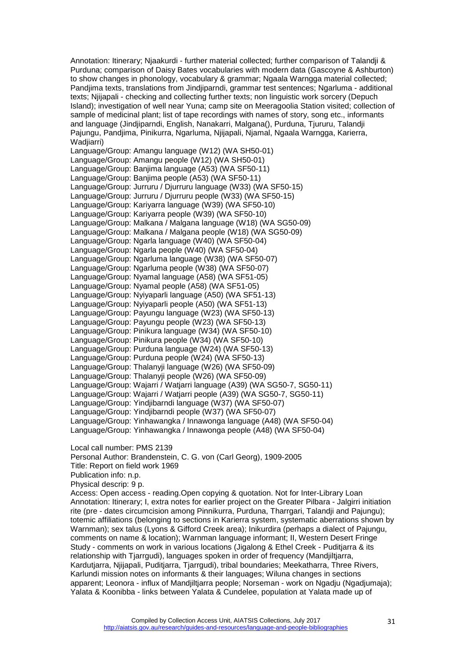Annotation: Itinerary; Njaakurdi - further material collected; further comparison of Talandji & Purduna; comparison of Daisy Bates vocabularies with modern data (Gascoyne & Ashburton) to show changes in phonology, vocabulary & grammar; Ngaala Warngga material collected; Pandjima texts, translations from Jindjiparndi, grammar test sentences; Ngarluma - additional texts; Njijapali - checking and collecting further texts; non linguistic work sorcery (Depuch Island); investigation of well near Yuna; camp site on Meeragoolia Station visited; collection of sample of medicinal plant; list of tape recordings with names of story, song etc., informants and language (Jindjiparndi, English, Nanakarri, Malgana(), Purduna, Tjururu, Talandji Pajungu, Pandjima, Pinikurra, Ngarluma, Njijapali, Njamal, Ngaala Warngga, Karierra, Wadiiarri)

Language/Group: Amangu language (W12) (WA SH50-01) Language/Group: Amangu people (W12) (WA SH50-01) Language/Group: Banjima language (A53) (WA SF50-11) Language/Group: Banjima people (A53) (WA SF50-11) Language/Group: Jurruru / Djurruru language (W33) (WA SF50-15) Language/Group: Jurruru / Djurruru people (W33) (WA SF50-15) Language/Group: Kariyarra language (W39) (WA SF50-10) Language/Group: Kariyarra people (W39) (WA SF50-10) Language/Group: Malkana / Malgana language (W18) (WA SG50-09) Language/Group: Malkana / Malgana people (W18) (WA SG50-09) Language/Group: Ngarla language (W40) (WA SF50-04) Language/Group: Ngarla people (W40) (WA SF50-04) Language/Group: Ngarluma language (W38) (WA SF50-07) Language/Group: Ngarluma people (W38) (WA SF50-07) Language/Group: Nyamal language (A58) (WA SF51-05) Language/Group: Nyamal people (A58) (WA SF51-05) Language/Group: Nyiyaparli language (A50) (WA SF51-13) Language/Group: Nyiyaparli people (A50) (WA SF51-13) Language/Group: Payungu language (W23) (WA SF50-13) Language/Group: Payungu people (W23) (WA SF50-13) Language/Group: Pinikura language (W34) (WA SF50-10) Language/Group: Pinikura people (W34) (WA SF50-10) Language/Group: Purduna language (W24) (WA SF50-13) Language/Group: Purduna people (W24) (WA SF50-13) Language/Group: Thalanyji language (W26) (WA SF50-09) Language/Group: Thalanyji people (W26) (WA SF50-09) Language/Group: Wajarri / Watjarri language (A39) (WA SG50-7, SG50-11) Language/Group: Wajarri / Watjarri people (A39) (WA SG50-7, SG50-11) Language/Group: Yindjibarndi language (W37) (WA SF50-07) Language/Group: Yindjibarndi people (W37) (WA SF50-07) Language/Group: Yinhawangka / Innawonga language (A48) (WA SF50-04) Language/Group: Yinhawangka / Innawonga people (A48) (WA SF50-04)

Local call number: PMS 2139

Personal Author: Brandenstein, C. G. von (Carl Georg), 1909-2005

Title: Report on field work 1969

Publication info: n.p.

Physical descrip: 9 p.

Access: Open access - reading.Open copying & quotation. Not for Inter-Library Loan Annotation: Itinerary; I, extra notes for earlier project on the Greater Pilbara - Jalgirri initiation rite (pre - dates circumcision among Pinnikurra, Purduna, Tharrgari, Talandji and Pajungu); totemic affiliations (belonging to sections in Karierra system, systematic aberrations shown by Warnman); sex talus (Lyons & Gifford Creek area); Inikurdira (perhaps a dialect of Pajungu, comments on name & location); Warnman language informant; II, Western Desert Fringe Study - comments on work in various locations (Jigalong & Ethel Creek - Puditjarra & its relationship with Tjarrgudi), languages spoken in order of frequency (Mandjiltjarra, Kardutjarra, Njijapali, Puditjarra, Tjarrgudi), tribal boundaries; Meekatharra, Three Rivers, Karlundi mission notes on informants & their languages; Wiluna changes in sections apparent; Leonora - influx of Mandjiltjarra people; Norseman - work on Ngadju (Ngadjumaja); Yalata & Koonibba - links between Yalata & Cundelee, population at Yalata made up of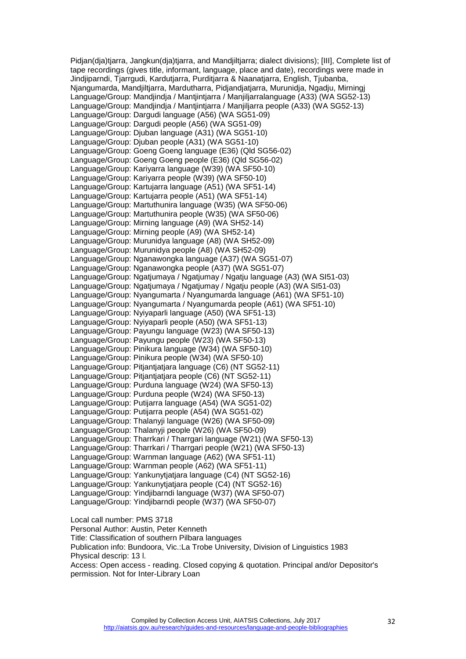Pidian(dia)tiarra, Jangkun(dia)tiarra, and Mandiiltiarra; dialect divisions); [III], Complete list of tape recordings (gives title, informant, language, place and date), recordings were made in Jindjiparndi, Tjarrgudi, Kardutjarra, Purditjarra & Naanatjarra, English, Tjubanba, Njangumarda, Mandjiltjarra, Mardutharra, Pidjandjatjarra, Murunidja, Ngadju, Mirningj Language/Group: Mandjindja / Mantjintjarra / Manjiljarralanguage (A33) (WA SG52-13) Language/Group: Mandjindja / Mantjintjarra / Manjiljarra people (A33) (WA SG52-13) Language/Group: Dargudi language (A56) (WA SG51-09) Language/Group: Dargudi people (A56) (WA SG51-09) Language/Group: Djuban language (A31) (WA SG51-10) Language/Group: Djuban people (A31) (WA SG51-10) Language/Group: Goeng Goeng language (E36) (Qld SG56-02) Language/Group: Goeng Goeng people (E36) (Qld SG56-02) Language/Group: Kariyarra language (W39) (WA SF50-10) Language/Group: Kariyarra people (W39) (WA SF50-10) Language/Group: Kartujarra language (A51) (WA SF51-14) Language/Group: Kartujarra people (A51) (WA SF51-14) Language/Group: Martuthunira language (W35) (WA SF50-06) Language/Group: Martuthunira people (W35) (WA SF50-06) Language/Group: Mirning language (A9) (WA SH52-14) Language/Group: Mirning people (A9) (WA SH52-14) Language/Group: Murunidya language (A8) (WA SH52-09) Language/Group: Murunidya people (A8) (WA SH52-09) Language/Group: Nganawongka language (A37) (WA SG51-07) Language/Group: Nganawongka people (A37) (WA SG51-07) Language/Group: Ngatjumaya / Ngatjumay / Ngatju language (A3) (WA SI51-03) Language/Group: Ngatjumaya / Ngatjumay / Ngatju people (A3) (WA SI51-03) Language/Group: Nyangumarta / Nyangumarda language (A61) (WA SF51-10) Language/Group: Nyangumarta / Nyangumarda people (A61) (WA SF51-10) Language/Group: Nyiyaparli language (A50) (WA SF51-13) Language/Group: Nyiyaparli people (A50) (WA SF51-13) Language/Group: Payungu language (W23) (WA SF50-13) Language/Group: Payungu people (W23) (WA SF50-13) Language/Group: Pinikura language (W34) (WA SF50-10) Language/Group: Pinikura people (W34) (WA SF50-10) Language/Group: Pitjantiatiara language (C6) (NT SG52-11) Language/Group: Pitiantiatiara people (C6) (NT SG52-11) Language/Group: Purduna language (W24) (WA SF50-13) Language/Group: Purduna people (W24) (WA SF50-13) Language/Group: Putijarra language (A54) (WA SG51-02) Language/Group: Putijarra people (A54) (WA SG51-02) Language/Group: Thalanyji language (W26) (WA SF50-09) Language/Group: Thalanyji people (W26) (WA SF50-09) Language/Group: Tharrkari / Tharrgari language (W21) (WA SF50-13) Language/Group: Tharrkari / Tharrgari people (W21) (WA SF50-13) Language/Group: Warnman language (A62) (WA SF51-11) Language/Group: Warnman people (A62) (WA SF51-11) Language/Group: Yankunytjatjara language (C4) (NT SG52-16) Language/Group: Yankunytjatjara people (C4) (NT SG52-16) Language/Group: Yindjibarndi language (W37) (WA SF50-07) Language/Group: Yindjibarndi people (W37) (WA SF50-07)

Local call number: PMS 3718 Personal Author: Austin, Peter Kenneth Title: Classification of southern Pilbara languages Publication info: Bundoora, Vic.:La Trobe University, Division of Linguistics 1983 Physical descrip: 13 l. Access: Open access - reading. Closed copying & quotation. Principal and/or Depositor's permission. Not for Inter-Library Loan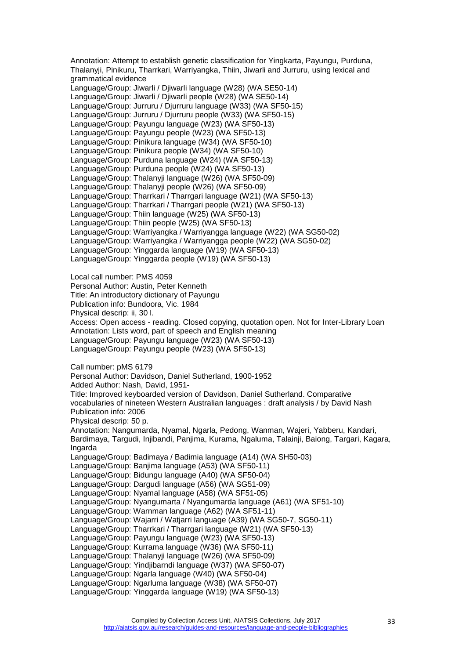Annotation: Attempt to establish genetic classification for Yingkarta, Payungu, Purduna, Thalanyji, Pinikuru, Tharrkari, Warriyangka, Thiin, Jiwarli and Jurruru, using lexical and grammatical evidence Language/Group: Jiwarli / Djiwarli language (W28) (WA SE50-14) Language/Group: Jiwarli / Djiwarli people (W28) (WA SE50-14) Language/Group: Jurruru / Djurruru language (W33) (WA SF50-15) Language/Group: Jurruru / Djurruru people (W33) (WA SF50-15) Language/Group: Payungu language (W23) (WA SF50-13) Language/Group: Payungu people (W23) (WA SF50-13) Language/Group: Pinikura language (W34) (WA SF50-10) Language/Group: Pinikura people (W34) (WA SF50-10) Language/Group: Purduna language (W24) (WA SF50-13) Language/Group: Purduna people (W24) (WA SF50-13) Language/Group: Thalanyji language (W26) (WA SF50-09) Language/Group: Thalanyji people (W26) (WA SF50-09) Language/Group: Tharrkari / Tharrgari language (W21) (WA SF50-13) Language/Group: Tharrkari / Tharrgari people (W21) (WA SF50-13) Language/Group: Thiin language (W25) (WA SF50-13) Language/Group: Thiin people (W25) (WA SF50-13) Language/Group: Warriyangka / Warriyangga language (W22) (WA SG50-02) Language/Group: Warriyangka / Warriyangga people (W22) (WA SG50-02) Language/Group: Yinggarda language (W19) (WA SF50-13) Language/Group: Yinggarda people (W19) (WA SF50-13) Local call number: PMS 4059 Personal Author: Austin, Peter Kenneth Title: An introductory dictionary of Payungu Publication info: Bundoora, Vic. 1984 Physical descrip: ii, 30 l. Access: Open access - reading. Closed copying, quotation open. Not for Inter-Library Loan Annotation: Lists word, part of speech and English meaning Language/Group: Payungu language (W23) (WA SF50-13) Language/Group: Payungu people (W23) (WA SF50-13) Call number: pMS 6179 Personal Author: Davidson, Daniel Sutherland, 1900-1952 Added Author: Nash, David, 1951- Title: Improved keyboarded version of Davidson, Daniel Sutherland. Comparative vocabularies of nineteen Western Australian languages : draft analysis / by David Nash Publication info: 2006 Physical descrip: 50 p. Annotation: Nangumarda, Nyamal, Ngarla, Pedong, Wanman, Wajeri, Yabberu, Kandari, Bardimaya, Targudi, Injibandi, Panjima, Kurama, Ngaluma, Talainji, Baiong, Targari, Kagara, Ingarda Language/Group: Badimaya / Badimia language (A14) (WA SH50-03) Language/Group: Banjima language (A53) (WA SF50-11) Language/Group: Bidungu language (A40) (WA SF50-04) Language/Group: Dargudi language (A56) (WA SG51-09) Language/Group: Nyamal language (A58) (WA SF51-05) Language/Group: Nyangumarta / Nyangumarda language (A61) (WA SF51-10) Language/Group: Warnman language (A62) (WA SF51-11) Language/Group: Wajarri / Watjarri language (A39) (WA SG50-7, SG50-11) Language/Group: Tharrkari / Tharrgari language (W21) (WA SF50-13) Language/Group: Payungu language (W23) (WA SF50-13) Language/Group: Kurrama language (W36) (WA SF50-11) Language/Group: Thalanyji language (W26) (WA SF50-09) Language/Group: Yindjibarndi language (W37) (WA SF50-07) Language/Group: Ngarla language (W40) (WA SF50-04) Language/Group: Ngarluma language (W38) (WA SF50-07) Language/Group: Yinggarda language (W19) (WA SF50-13)